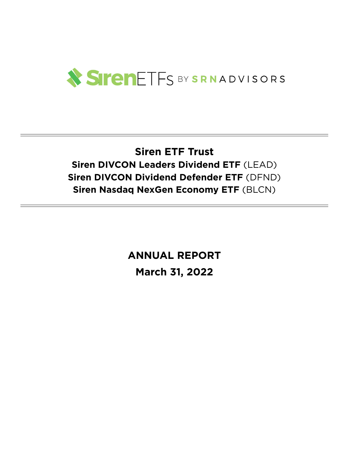

## **Siren ETF Trust Siren DIVCON Leaders Dividend ETF** (LEAD) **Siren DIVCON Dividend Defender ETF** (DFND) **Siren Nasdaq NexGen Economy ETF** (BLCN)

**ANNUAL REPORT March 31, 2022**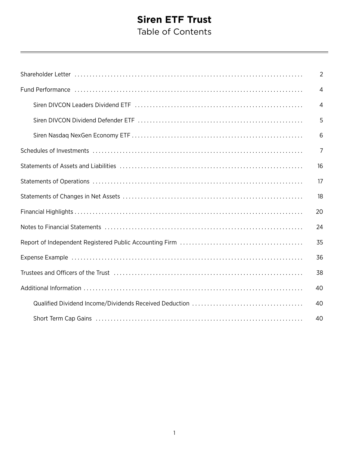### **Siren ETF Trust** Table of Contents

|                                                                                                                | $\overline{2}$ |
|----------------------------------------------------------------------------------------------------------------|----------------|
| Fund Performance (and according to the control of the control of the control of the control of the control of  | $\overline{4}$ |
|                                                                                                                | $\overline{4}$ |
|                                                                                                                | 5              |
|                                                                                                                | 6              |
|                                                                                                                | 7              |
|                                                                                                                | 16             |
|                                                                                                                | 17             |
|                                                                                                                | 18             |
|                                                                                                                | 20             |
|                                                                                                                | 24             |
|                                                                                                                | 35             |
|                                                                                                                | 36             |
| Trustees and Officers of the Trust (Allerman Community Contract Community Community Community Community Commun | 38             |
|                                                                                                                | 40             |
|                                                                                                                | 40             |
|                                                                                                                | 40             |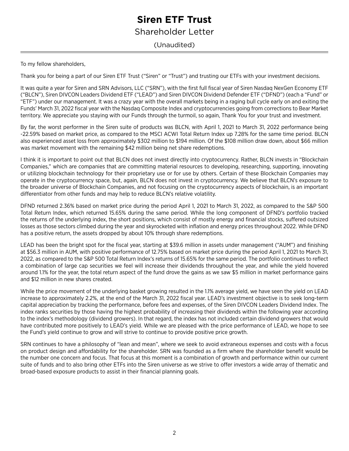### Shareholder Letter

<span id="page-3-0"></span>(Unaudited)

To my fellow shareholders,

Thank you for being a part of our Siren ETF Trust ("Siren" or "Trust") and trusting our ETFs with your investment decisions.

It was quite a year for Siren and SRN Advisors, LLC ("SRN"), with the first full fiscal year of Siren Nasdaq NexGen Economy ETF ("BLCN"), Siren DIVCON Leaders Dividend ETF ("LEAD") and Siren DIVCON Dividend Defender ETF ("DFND") (each a "Fund" or "ETF") under our management. It was a crazy year with the overall markets being in a raging bull cycle early on and exiting the Funds' March 31, 2022 fiscal year with the Nasdaq Composite Index and cryptocurrencies going from corrections to Bear Market territory. We appreciate you staying with our Funds through the turmoil, so again, Thank You for your trust and investment.

By far, the worst performer in the Siren suite of products was BLCN, with April 1, 2021 to March 31, 2022 performance being -22.59% based on market price, as compared to the MSCI ACWI Total Return Index up 7.28% for the same time period. BLCN also experienced asset loss from approximately \$302 million to \$194 million. Of the \$108 million draw down, about \$66 million was market movement with the remaining \$42 million being net share redemptions.

I think it is important to point out that BLCN does not invest directly into cryptocurrency. Rather, BLCN invests in "Blockchain Companies," which are companies that are committing material resources to developing, researching, supporting, innovating or utilizing blockchain technology for their proprietary use or for use by others. Certain of these Blockchain Companies may operate in the cryptocurrency space, but, again, BLCN does not invest in cryptocurrency. We believe that BLCN's exposure to the broader universe of Blockchain Companies, and not focusing on the cryptocurrency aspects of blockchain, is an important differentiator from other funds and may help to reduce BLCN's relative volatility.

DFND returned 2.36% based on market price during the period April 1, 2021 to March 31, 2022, as compared to the S&P 500 Total Return Index, which returned 15.65% during the same period. While the long component of DFND's portfolio tracked the returns of the underlying index, the short positions, which consist of mostly energy and financial stocks, suffered outsized losses as those sectors climbed during the year and skyrocketed with inflation and energy prices throughout 2022. While DFND has a positive return, the assets dropped by about 10% through share redemptions.

LEAD has been the bright spot for the fiscal year, starting at \$39.6 million in assets under management ("AUM") and finishing at \$56.3 million in AUM, with positive performance of 12.75% based on market price during the period April 1, 2021 to March 31, 2022, as compared to the S&P 500 Total Return Index's returns of 15.65% for the same period. The portfolio continues to reflect a combination of large cap securities we feel will increase their dividends throughout the year, and while the yield hovered around 1.1% for the year, the total return aspect of the fund drove the gains as we saw \$5 million in market performance gains and \$12 million in new shares created.

While the price movement of the underlying basket growing resulted in the 1.1% average yield, we have seen the yield on LEAD increase to approximately 2.2%, at the end of the March 31, 2022 fiscal year. LEAD's investment objective is to seek long-term capital appreciation by tracking the performance, before fees and expenses, of the Siren DIVCON Leaders Dividend Index. The index ranks securities by those having the highest probability of increasing their dividends within the following year according to the index's methodology (dividend growers). In that regard, the index has not included certain dividend growers that would have contributed more positively to LEAD's yield. While we are pleased with the price performance of LEAD, we hope to see the Fund's yield continue to grow and will strive to continue to provide positive price growth.

SRN continues to have a philosophy of "lean and mean", where we seek to avoid extraneous expenses and costs with a focus on product design and affordability for the shareholder. SRN was founded as a firm where the shareholder benefit would be the number one concern and focus. That focus at this moment is a combination of growth and performance within our current suite of funds and to also bring other ETFs into the Siren universe as we strive to offer investors a wide array of thematic and broad-based exposure products to assist in their financial planning goals.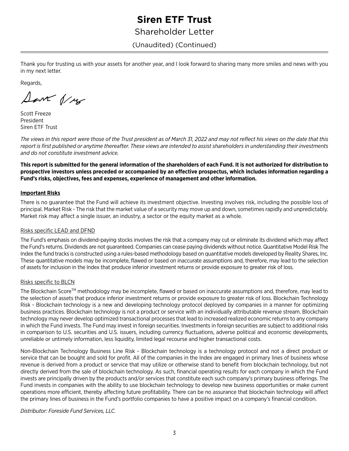Shareholder Letter

(Unaudited) (Continued)

Thank you for trusting us with your assets for another year, and I look forward to sharing many more smiles and news with you in my next letter.

Regards,

Save 1/18

Scott Freeze President Siren ETF Trust

*The views in this report were those of the Trust president as of March 31, 2022 and may not reflect his views on the date that this report is first published or anytime thereafter. These views are intended to assist shareholders in understanding their investments and do not constitute investment advice.*

**This report is submitted for the general information of the shareholders of each Fund. It is not authorized for distribution to prospective investors unless preceded or accompanied by an effective prospectus, which includes information regarding a Fund's risks, objectives, fees and expenses, experience of management and other information.**

#### **Important Risks**

There is no guarantee that the Fund will achieve its investment objective. Investing involves risk, including the possible loss of principal. Market Risk - The risk that the market value of a security may move up and down, sometimes rapidly and unpredictably. Market risk may affect a single issuer, an industry, a sector or the equity market as a whole.

#### Risks specific LEAD and DFND

The Fund's emphasis on dividend-paying stocks involves the risk that a company may cut or eliminate its dividend which may affect the Fund's returns. Dividends are not guaranteed. Companies can cease paying dividends without notice. Quantitative Model Risk The Index the fund tracks is constructed using a rules-based methodology based on quantitative models developed by Reality Shares, Inc. These quantitative models may be incomplete, flawed or based on inaccurate assumptions and, therefore, may lead to the selection of assets for inclusion in the Index that produce inferior investment returns or provide exposure to greater risk of loss.

#### Risks specific to BLCN

The Blockchain Score™ methodology may be incomplete, flawed or based on inaccurate assumptions and, therefore, may lead to the selection of assets that produce inferior investment returns or provide exposure to greater risk of loss. Blockchain Technology Risk - Blockchain technology is a new and developing technology protocol deployed by companies in a manner for optimizing business practices. Blockchain technology is not a product or service with an individually attributable revenue stream. Blockchain technology may never develop optimized transactional processes that lead to increased realized economic returns to any company in which the Fund invests. The Fund may invest in foreign securities. Investments in foreign securities are subject to additional risks in comparison to U.S. securities and U.S. issuers, including currency fluctuations, adverse political and economic developments, unreliable or untimely information, less liquidity, limited legal recourse and higher transactional costs.

Non-Blockchain Technology Business Line Risk - Blockchain technology is a technology protocol and not a direct product or service that can be bought and sold for profit. All of the companies in the Index are engaged in primary lines of business whose revenue is derived from a product or service that may utilize or otherwise stand to benefit from blockchain technology, but not directly derived from the sale of blockchain technology. As such, financial operating results for each company in which the Fund invests are principally driven by the products and/or services that constitute each such company's primary business offerings. The Fund invests in companies with the ability to use blockchain technology to develop new business opportunities or make current operations more efficient, thereby affecting future profitability. There can be no assurance that blockchain technology will affect the primary lines of business in the Fund's portfolio companies to have a positive impact on a company's financial condition.

*Distributor: Foreside Fund Services, LLC.*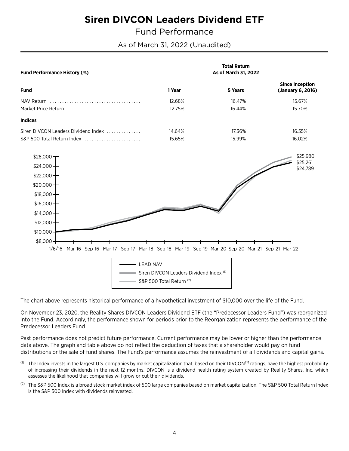<span id="page-5-1"></span>Fund Performance

As of March 31, 2022 (Unaudited)

<span id="page-5-0"></span>

| <b>Fund Performance History (%)</b>                                                                                                      |                                                                     | <b>Total Return</b><br>As of March 31, 2022 |                                             |
|------------------------------------------------------------------------------------------------------------------------------------------|---------------------------------------------------------------------|---------------------------------------------|---------------------------------------------|
| <b>Fund</b>                                                                                                                              | 1 Year                                                              | 5 Years                                     | <b>Since Inception</b><br>(January 6, 2016) |
| NAV Return<br>Market Price Return                                                                                                        | 12.68%<br>12.75%                                                    | 16.47%<br>16.44%                            | 15.67%<br>15.70%                            |
| <b>Indices</b>                                                                                                                           |                                                                     |                                             |                                             |
| Siren DIVCON Leaders Dividend Index<br>S&P 500 Total Return Index                                                                        | 14.64%<br>15.65%                                                    | 17.36%<br>15.99%                            | 16.55%<br>16.02%                            |
| $$26,000-$<br>\$24,000<br>$$22,000-$<br>$$20,000 +$<br>$$18,000 -$<br>$$16,000 +$<br>$$14,000 +$<br>$$12,000 +$<br>\$10,000<br>$$8,000-$ |                                                                     |                                             | \$25,980<br>\$25,261<br>\$24,789            |
| 1/6/16 Mar-16 Sep-16 Mar-17 Sep-17 Mar-18 Sep-18 Mar-19 Sep-19 Mar-20 Sep-20 Mar-21 Sep-21 Mar-22<br><b>LEAD NAV</b>                     | Siren DIVCON Leaders Dividend Index (1)<br>S&P 500 Total Return (2) |                                             |                                             |

The chart above represents historical performance of a hypothetical investment of \$10,000 over the life of the Fund.

On November 23, 2020, the Reality Shares DIVCON Leaders Dividend ETF (the "Predecessor Leaders Fund") was reorganized into the Fund. Accordingly, the performance shown for periods prior to the Reorganization represents the performance of the Predecessor Leaders Fund.

Past performance does not predict future performance. Current performance may be lower or higher than the performance data above. The graph and table above do not reflect the deduction of taxes that a shareholder would pay on fund distributions or the sale of fund shares. The Fund's performance assumes the reinvestment of all dividends and capital gains.

- <sup>(1)</sup> The Index invests in the largest U.S. companies by market capitalization that, based on their DIVCON™ ratings, have the highest probability of increasing their dividends in the next 12 months. DIVCON is a dividend health rating system created by Reality Shares, Inc. which assesses the likelihood that companies will grow or cut their dividends.
- (2) The S&P 500 Index is a broad stock market index of 500 large companies based on market capitalization. The S&P 500 Total Return Index is the S&P 500 Index with dividends reinvested.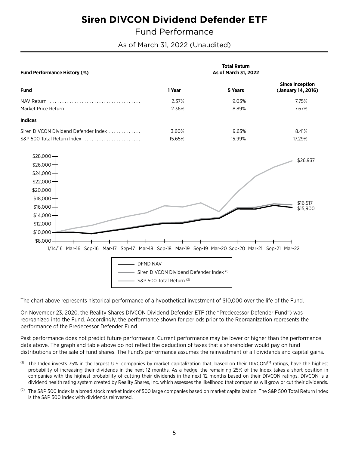<span id="page-6-0"></span>**Fund Performance** 

As of March 31, 2022 (Unaudited)

| <b>Fund Performance History (%)</b>                                                                                                             |                                                                      | <b>Total Return</b><br>As of March 31, 2022 |                                              |
|-------------------------------------------------------------------------------------------------------------------------------------------------|----------------------------------------------------------------------|---------------------------------------------|----------------------------------------------|
| <b>Fund</b>                                                                                                                                     | 1 Year                                                               | 5 Years                                     | <b>Since Inception</b><br>(January 14, 2016) |
| NAV Return<br>Market Price Return                                                                                                               | 2.37%<br>2.36%                                                       | 9.03%<br>8.89%                              | 7.75%<br>7.67%                               |
| <b>Indices</b>                                                                                                                                  |                                                                      |                                             |                                              |
| Siren DIVCON Dividend Defender Index<br>S&P 500 Total Return Index                                                                              | 3.60%<br>15.65%                                                      | 9.63%<br>15.99%                             | 8.41%<br>17.29%                              |
| $$28,000 -$<br>$$26,000 +$<br>\$24,000 $+$<br>$$22,000 +$                                                                                       |                                                                      |                                             | \$26,937                                     |
| $$20,000 +$<br>$$18,000 +$<br>$$16,000 +$<br>$$14,000 +$<br>$$12,000 +$                                                                         |                                                                      |                                             | \$16,517<br>\$15,900                         |
| \$10,000<br>$$8,000 -$<br>1/14/16 Mar-16 Sep-16 Mar-17 Sep-17 Mar-18 Sep-18 Mar-19 Sep-19 Mar-20 Sep-20 Mar-21 Sep-21 Mar-22<br><b>DFND NAV</b> | Siren DIVCON Dividend Defender Index (1)<br>S&P 500 Total Return (2) |                                             |                                              |

The chart above represents historical performance of a hypothetical investment of \$10,000 over the life of the Fund.

On November 23, 2020, the Reality Shares DIVCON Dividend Defender ETF (the "Predecessor Defender Fund") was reorganized into the Fund. Accordingly, the performance shown for periods prior to the Reorganization represents the performance of the Predecessor Defender Fund.

Past performance does not predict future performance. Current performance may be lower or higher than the performance data above. The graph and table above do not reflect the deduction of taxes that a shareholder would pay on fund distributions or the sale of fund shares. The Fund's performance assumes the reinvestment of all dividends and capital gains.

- <sup>(1)</sup> The Index invests 75% in the largest U.S. companies by market capitalization that, based on their DIVCON™ ratings, have the highest probability of increasing their dividends in the next 12 months. As a hedge, the remaining 25% of the Index takes a short position in companies with the highest probability of cutting their dividends in the next 12 months based on their DIVCON ratings. DIVCON is a dividend health rating system created by Reality Shares, Inc. which assesses the likelihood that companies will grow or cut their dividends.
- (2) The S&P 500 Index is a broad stock market index of 500 large companies based on market capitalization. The S&P 500 Total Return Index is the S&P 500 Index with dividends reinvested.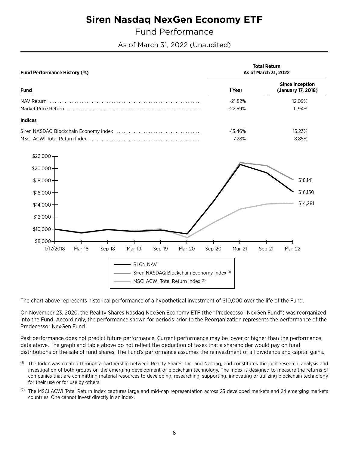## **Siren Nasdag NexGen Economy ETF**

<span id="page-7-0"></span>**Fund Performance** 

As of March 31, 2022 (Unaudited)

| <b>Fund Performance History (%)</b>                                                                         | <b>Total Return</b><br>As of March 31, 2022 |                                              |
|-------------------------------------------------------------------------------------------------------------|---------------------------------------------|----------------------------------------------|
| <b>Fund</b>                                                                                                 | 1 Year                                      | <b>Since Inception</b><br>(January 17, 2018) |
| NAV Return                                                                                                  | $-21.82%$<br>$-22.59%$                      | 12.09%<br>11.94%                             |
| <b>Indices</b>                                                                                              |                                             |                                              |
|                                                                                                             | $-13.46%$<br>7.28%                          | 15.23%<br>8.85%                              |
| $$22,000-$                                                                                                  |                                             |                                              |
| $$20,000 +$<br>$$18,000 +$                                                                                  |                                             | \$18,141                                     |
| $$16,000 +$                                                                                                 |                                             | \$16,150                                     |
| $$14,000 +$                                                                                                 |                                             | \$14,281                                     |
| $$12,000 +$                                                                                                 |                                             |                                              |
| \$10,000                                                                                                    |                                             |                                              |
| $$8,000-$<br>1/17/2018<br>Mar-19<br>Mar-18<br>Sep-18<br>Sep-19<br>Mar-20                                    | Sep-20<br>Mar-21                            | Sep-21<br>Mar-22                             |
| <b>BLCN NAV</b><br>Siren NASDAQ Blockchain Economy Index (1)<br>MSCI ACWI Total Return Index <sup>(2)</sup> |                                             |                                              |

The chart above represents historical performance of a hypothetical investment of \$10,000 over the life of the Fund.

On November 23, 2020, the Reality Shares Nasdaq NexGen Economy ETF (the "Predecessor NexGen Fund") was reorganized into the Fund. Accordingly, the performance shown for periods prior to the Reorganization represents the performance of the Predecessor NexGen Fund.

Past performance does not predict future performance. Current performance may be lower or higher than the performance data above. The graph and table above do not reflect the deduction of taxes that a shareholder would pay on fund distributions or the sale of fund shares. The Fund's performance assumes the reinvestment of all dividends and capital gains.

- $(1)$ The Index was created through a partnership between Reality Shares, Inc. and Nasdaq, and constitutes the joint research, analysis and investigation of both groups on the emerging development of blockchain technology. The Index is designed to measure the returns of companies that are committing material resources to developing, researching, supporting, innovating or utilizing blockchain technology for their use or for use by others.
- <sup>(2)</sup> The MSCI ACWI Total Return Index captures large and mid-cap representation across 23 developed markets and 24 emerging markets countries. One cannot invest directly in an index.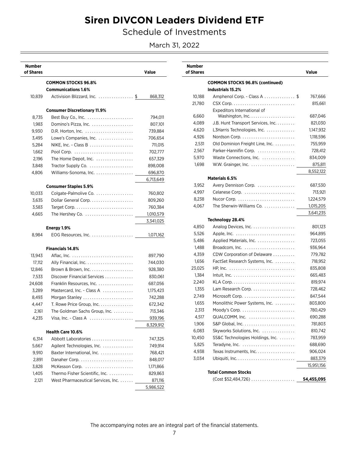Schedule of Investments

March 31, 2022

<span id="page-8-0"></span>

| <b>Number</b><br>of Shares |                                                         | Value     |
|----------------------------|---------------------------------------------------------|-----------|
|                            | <b>COMMON STOCKS 96.8%</b>                              |           |
|                            | <b>Communications 1.6%</b>                              |           |
| 10,839                     | Activision Blizzard, Inc. \$                            | 868,312   |
|                            | <b>Consumer Discretionary 11.9%</b>                     |           |
| 8,735                      |                                                         | 794,011   |
| 1,983                      | Domino's Pizza, Inc.                                    | 807,101   |
| 9,930                      |                                                         | 739,884   |
| 3,495                      | Lowe's Companies, Inc.                                  | 706,654   |
| 5,284                      |                                                         | 711,015   |
| 1,662                      |                                                         | 702,777   |
| 2,196                      | The Home Depot, Inc.                                    | 657,329   |
| 3,848                      | Tractor Supply Co.                                      | 898,008   |
| 4,806                      | Williams-Sonoma, Inc.                                   | 696,870   |
|                            |                                                         | 6,713,649 |
|                            | <b>Consumer Staples 5.9%</b>                            |           |
| 10,033                     | Colgate-Palmolive Co.                                   | 760,802   |
| 3,635                      | Dollar General Corp.                                    | 809,260   |
| 3,583                      |                                                         | 760,384   |
| 4,665                      |                                                         | 1,010,579 |
|                            |                                                         | 3,341,025 |
|                            | Energy 1.9%                                             |           |
| 8,984                      |                                                         | 1,071,162 |
|                            | <b>Financials 14.8%</b>                                 |           |
| 13,943                     |                                                         | 897,790   |
| 17,112                     |                                                         | 744,030   |
| 12,846                     | Brown & Brown, Inc.                                     | 928,380   |
| 7,533                      | Discover Financial Services                             | 830,061   |
| 24,608                     | Franklin Resources, Inc.                                | 687,056   |
| 3,289                      | Mastercard, Inc. - Class A                              | 1,175,423 |
| 8,493                      | Morgan Stanley                                          | 742,288   |
| 4,447                      | T. Rowe Price Group, Inc. $\ldots \ldots \ldots \ldots$ | 672,342   |
| 2,161                      | The Goldman Sachs Group, Inc.                           | 713,346   |
| 4,235                      | Visa, Inc. - Class A                                    | 939,196   |
|                            |                                                         | 8,329,912 |
|                            | <b>Health Care 10.6%</b>                                |           |
| 6,314                      | Abbott Laboratories                                     | 747,325   |
| 5.667                      | Agilent Technologies, Inc.                              | 749,914   |
| 9,910                      | Baxter International, Inc.                              | 768,421   |
| 2,891                      |                                                         | 848,017   |
| 3,828                      | McKesson Corp.                                          | 1,171,866 |
| 1,405                      | Thermo Fisher Scientific, Inc.                          | 829,863   |
| 2,121                      | West Pharmaceutical Services, Inc.                      | 871,116   |
|                            |                                                         | 5,986,522 |

| <b>Number</b><br>of Shares |                                                                       | Value      |
|----------------------------|-----------------------------------------------------------------------|------------|
|                            | <b>COMMON STOCKS 96.8% (continued)</b><br>Industrials 15.2%           |            |
| 10,188                     | Amphenol Corp. - Class A \$                                           | 767,666    |
| 21,780                     |                                                                       | 815,661    |
|                            | Expeditors International of                                           |            |
| 6,660                      |                                                                       | 687,046    |
| 4,089                      | J.B. Hunt Transport Services, Inc.                                    | 821,030    |
| 4.620                      | L3Harris Technologies, Inc.                                           | 1,147,932  |
| 4,926                      |                                                                       | 1,118,596  |
| 2,531                      | Old Dominion Freight Line, Inc.                                       | 755,959    |
| 2,567                      | Parker-Hannifin Corp.                                                 | 728,412    |
| 5,970                      | Waste Connections, Inc.                                               | 834,009    |
| 1,698                      |                                                                       | 875,811    |
|                            |                                                                       | 8,552,122  |
|                            | Materials 6.5%                                                        |            |
| 3.952                      | Avery Dennison Corp.                                                  | 687,530    |
| 4,997                      | Celanese Corp.                                                        | 713,921    |
| 8,238                      | Nucor Corp. $\ldots \ldots \ldots \ldots \ldots \ldots \ldots \ldots$ | 1,224,579  |
| 4,067                      | The Sherwin-Williams Co.                                              | 1,015,205  |
|                            |                                                                       | 3,641,235  |
|                            | Technology 28.4%                                                      |            |
| 4,850                      | Analog Devices, Inc.                                                  | 801,123    |
| 5,526                      |                                                                       | 964,895    |
| 5,486                      | Applied Materials, Inc.                                               | 723,055    |
| 1,488                      |                                                                       | 936,964    |
| 4,359                      | CDW Corporation of Delaware                                           | 779,782    |
| 1,656                      | FactSet Research Systems, Inc.                                        | 718,952    |
| 23,025                     |                                                                       | 835,808    |
| 1,384                      | $Intuit, Inc.$                                                        | 665,483    |
| 2,240                      |                                                                       | 819,974    |
| 1,355                      |                                                                       | 728,462    |
| 2,749                      |                                                                       | 847,544    |
| 1,655                      | Monolithic Power Systems, Inc.                                        | 803,800    |
| 2.313                      |                                                                       | 780,429    |
| 4,517                      | QUALCOMM, Inc.                                                        | 690,288    |
| 1,906                      |                                                                       | 781,803    |
| 6,083                      | Skyworks Solutions, Inc.                                              | 810,742    |
| 10,450                     | SS&C Technologies Holdings, Inc.                                      | 783,959    |
| 5,825                      | Teradyne, Inc.                                                        | 688,690    |
| 4,938                      | Texas Instruments, Inc.                                               | 906,024    |
| 3,034                      |                                                                       | 883,379    |
|                            |                                                                       | 15,951,156 |
|                            | <b>Total Common Stocks</b>                                            |            |
|                            |                                                                       | 54,455,095 |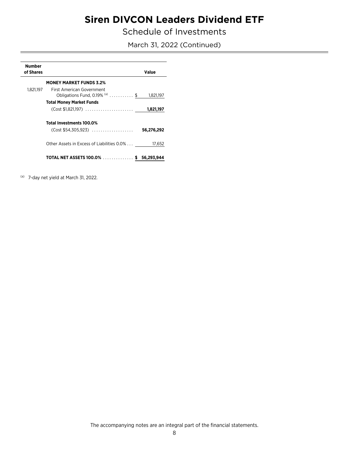Schedule of Investments

March 31, 2022 (Continued)

| <b>Number</b><br>of Shares |                                                                                        | Value      |
|----------------------------|----------------------------------------------------------------------------------------|------------|
|                            | <b>MONEY MARKET FUNDS 3.2%</b>                                                         |            |
|                            | 1,821,197 First American Government<br>Obligations Fund, $0.19\%$ (a) $\dots \dots$ \$ | 1,821,197  |
|                            | <b>Total Money Market Funds</b>                                                        |            |
|                            |                                                                                        | 1,821,197  |
|                            | Total Investments 100.0%                                                               |            |
|                            | $(Cost $54,305,923)$                                                                   | 56,276,292 |
|                            | Other Assets in Excess of Liabilities 0.0%                                             | 17,652     |
|                            | TOTAL NET ASSETS 100.0% \$ 56,293,944                                                  |            |

<sup>(a)</sup> 7-day net yield at March 31, 2022.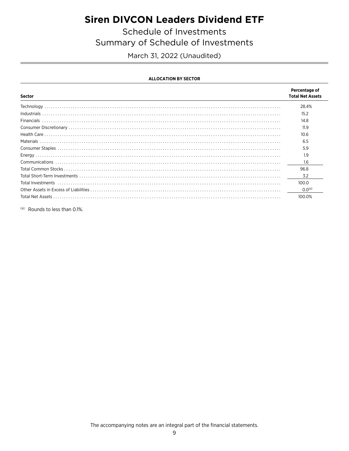Schedule of Investments Summary of Schedule of Investments

March 31, 2022 (Unaudited)

#### **ALLOCATION BY SECTOR**

| Sector                                                                                                                                                                                                                                                                                                                                                                                                                                                                                                                                    | Percentage of<br><b>Total Net Assets</b> |
|-------------------------------------------------------------------------------------------------------------------------------------------------------------------------------------------------------------------------------------------------------------------------------------------------------------------------------------------------------------------------------------------------------------------------------------------------------------------------------------------------------------------------------------------|------------------------------------------|
| $\textbf{Technology} \textcolor{red}{\textbf{1}} \textcolor{red}{\textbf{1}} \textcolor{red}{\textbf{1}} \textcolor{red}{\textbf{1}} \textcolor{red}{\textbf{1}} \textcolor{red}{\textbf{1}} \textcolor{red}{\textbf{1}} \textcolor{red}{\textbf{1}} \textcolor{red}{\textbf{1}} \textcolor{red}{\textbf{1}} \textcolor{red}{\textbf{1}} \textcolor{red}{\textbf{1}} \textcolor{red}{\textbf{1}} \textcolor{red}{\textbf{1}} \textcolor{red}{\textbf{1}} \textcolor{red}{\textbf{1}} \textcolor{red}{\textbf{1}} \textcolor{red}{\textbf$ | 28.4%                                    |
|                                                                                                                                                                                                                                                                                                                                                                                                                                                                                                                                           | 15.2                                     |
|                                                                                                                                                                                                                                                                                                                                                                                                                                                                                                                                           | 14.8                                     |
|                                                                                                                                                                                                                                                                                                                                                                                                                                                                                                                                           | 11.9                                     |
|                                                                                                                                                                                                                                                                                                                                                                                                                                                                                                                                           | 10.6                                     |
|                                                                                                                                                                                                                                                                                                                                                                                                                                                                                                                                           | 6.5                                      |
|                                                                                                                                                                                                                                                                                                                                                                                                                                                                                                                                           | 5.9                                      |
|                                                                                                                                                                                                                                                                                                                                                                                                                                                                                                                                           | 1.9                                      |
|                                                                                                                                                                                                                                                                                                                                                                                                                                                                                                                                           | 1.6                                      |
|                                                                                                                                                                                                                                                                                                                                                                                                                                                                                                                                           | 96.8                                     |
|                                                                                                                                                                                                                                                                                                                                                                                                                                                                                                                                           | 3.2                                      |
|                                                                                                                                                                                                                                                                                                                                                                                                                                                                                                                                           | 100.0                                    |
|                                                                                                                                                                                                                                                                                                                                                                                                                                                                                                                                           | 0.0 <sup>(a)</sup>                       |
|                                                                                                                                                                                                                                                                                                                                                                                                                                                                                                                                           | 100.0%                                   |

(a) Rounds to less than 0.1%.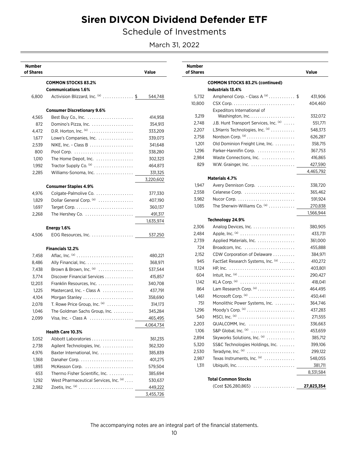Schedule of Investments

March 31, 2022

| Number<br>of Shares |                                                                         | Value     |
|---------------------|-------------------------------------------------------------------------|-----------|
|                     | <b>COMMON STOCKS 83.2%</b>                                              |           |
|                     | <b>Communications 1.6%</b>                                              |           |
| 6,800               | Activision Blizzard, Inc. (a) \$                                        | 544,748   |
|                     | <b>Consumer Discretionary 9.6%</b>                                      |           |
| 4,565               |                                                                         | 414,958   |
| 872                 | Domino's Pizza. Inc. $\ldots$ , $\ldots$ , $\ldots$ , $\ldots$          | 354,913   |
| 4,472               | D.R. Horton, Inc. (a)                                                   | 333,209   |
| 1,677               | Lowe's Companies, Inc.                                                  | 339,073   |
| 2,539               | NIKE, Inc. - Class B $\ldots \ldots \ldots \ldots \ldots \ldots$        | 341,648   |
| 800                 |                                                                         | 338,280   |
| 1,010               | The Home Depot, Inc. $\ldots$                                           | 302,323   |
| 1,992               | Tractor Supply Co. (a)                                                  | 464,873   |
| 2,285               | Williams-Sonoma, Inc.                                                   | 331,325   |
|                     |                                                                         | 3,220,602 |
|                     | <b>Consumer Staples 4.9%</b>                                            |           |
| 4,976               | Colgate-Palmolive Co.                                                   | 377,330   |
| 1,829               | Dollar General Corp. (a)                                                | 407,190   |
| 1,697               |                                                                         | 360,137   |
| 2,268               | The Hershey Co. $\ldots \ldots \ldots \ldots \ldots \ldots$             | 491,317   |
|                     |                                                                         | 1,635,974 |
| 4,506               | Energy 1.6%<br>EOG Resources, Inc. $\ldots \ldots \ldots \ldots \ldots$ | 537,250   |
|                     |                                                                         |           |
|                     | <b>Financials 12.2%</b>                                                 |           |
| 7,458               |                                                                         | 480,221   |
| 8,486               |                                                                         | 368,971   |
| 7,438               | Brown & Brown, Inc. $(a)$                                               | 537,544   |
| 3,774               | Discover Financial Services                                             | 415,857   |
| 12,203              | Franklin Resources, Inc.                                                | 340,708   |
| 1,225               | Mastercard, Inc. - Class A                                              | 437,791   |
| 4,104               | Morgan Stanley                                                          | 358,690   |
| 2,078               | T. Rowe Price Group, Inc. $(a)$                                         | 314,173   |
| 1,046               | The Goldman Sachs Group, Inc.                                           | 345,284   |
| 2,099               | Visa, Inc. - Class A $\ldots$                                           | 465,495   |
|                     |                                                                         | 4,064,734 |
|                     | <b>Health Care 10.3%</b>                                                |           |
| 3,052               | Abbott Laboratories                                                     | 361,235   |
| 2,738               | Agilent Technologies, Inc.                                              | 362,320   |
| 4,976               | Baxter International, Inc.                                              | 385,839   |
| 1,368               |                                                                         | 401,275   |
| 1,893               | McKesson Corp.                                                          | 579,504   |
| 653                 | Thermo Fisher Scientific, Inc.                                          | 385,694   |
| 1,292               | West Pharmaceutical Services, Inc. (a)                                  | 530,637   |
| 2,382               |                                                                         | 449,222   |
|                     |                                                                         | 3,455,726 |

| <b>Number</b><br>of Shares |                                                             | Value      |
|----------------------------|-------------------------------------------------------------|------------|
|                            | <b>COMMON STOCKS 83.2% (continued)</b><br>Industrials 13.4% |            |
| 5,732                      | Amphenol Corp. - Class A (a) \$                             | 431,906    |
| 10,800                     |                                                             | 404.460    |
|                            | Expeditors International of                                 |            |
| 3,219                      |                                                             | 332,072    |
| 2,748                      | J.B. Hunt Transport Services, Inc. (a)                      | 551,771    |
| 2.207                      | L3Harris Technologies, Inc. (a)                             | 548,373    |
| 2,758                      |                                                             | 626,287    |
| 1,201                      | Old Dominion Freight Line, Inc.                             | 358,715    |
| 1,296                      | Parker-Hannifin Corp.                                       | 367,753    |
| 2,984                      | Waste Connections, Inc.                                     | 416,865    |
| 829                        |                                                             | 427,590    |
|                            |                                                             | 4,465,792  |
|                            | Materials 4.7%                                              |            |
| 1,947                      | Avery Dennison Corp.                                        | 338,720    |
| 2,558                      | Celanese Corp.                                              | 365,462    |
| 3,982                      |                                                             | 591,924    |
| 1,085                      | The Sherwin-Williams Co. (a)                                | 270,838    |
|                            |                                                             | 1,566,944  |
|                            | Technology 24.9%                                            |            |
| 2,306                      | Analog Devices, Inc.                                        | 380,905    |
| 2,484                      | Apple, Inc. (a)                                             | 433,731    |
| 2,739                      | Applied Materials, Inc.                                     | 361,000    |
| 724                        |                                                             | 455,888    |
| 2,152                      | CDW Corporation of Delaware                                 | 384,971    |
| 945                        | FactSet Research Systems, Inc. (a)                          | 410,272    |
| 11,124                     |                                                             | 403,801    |
| 604                        |                                                             | 290,427    |
| 1,142                      | KLA Corp. (a)                                               | 418,041    |
| 864                        | Lam Research Corp. (a)                                      | 464,495    |
| 1,461                      | Microsoft Corp. (a)                                         | 450,441    |
| 751                        | Monolithic Power Systems, Inc.                              | 364,746    |
| 1,296                      | Moody's Corp. $(a)$                                         | 437,283    |
| 540                        |                                                             | 271,555    |
| 2,203                      |                                                             | 336,663    |
| 1,106                      | S&P Global, Inc. $(a)$                                      | 453,659    |
| 2,894                      | Skyworks Solutions, Inc. (a)                                | 385,712    |
| 5,320                      | SS&C Technologies Holdings, Inc.                            | 399,106    |
| 2,530                      | Teradyne, Inc. (a)                                          | 299,122    |
| 2,987                      | Texas Instruments, Inc. $(a)$                               | 548,055    |
| 1,311                      |                                                             | 381,711    |
|                            |                                                             | 8,331,584  |
|                            | <b>Total Common Stocks</b>                                  |            |
|                            | (Cost \$26,280,865)                                         | 27,823,354 |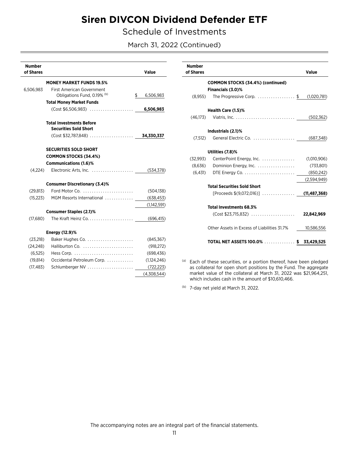Schedule of Investments

March 31, 2022 (Continued)

| <b>Number</b><br>of Shares |                                                     | Value           |
|----------------------------|-----------------------------------------------------|-----------------|
|                            | <b>MONEY MARKET FUNDS 19.5%</b>                     |                 |
| 6,506,983                  | First American Government                           |                 |
|                            | Obligations Fund, 0.19% (b)                         | \$<br>6,506,983 |
|                            | <b>Total Money Market Funds</b>                     |                 |
|                            | $(Cost $6,506,983)$                                 | 6,506,983       |
|                            | <b>Total Investments Before</b>                     |                 |
|                            | <b>Securities Sold Short</b>                        |                 |
|                            |                                                     |                 |
|                            | <b>SECURITIES SOLD SHORT</b>                        |                 |
|                            | <b>COMMON STOCKS (34.4%)</b>                        |                 |
|                            | <b>Communications (1.6)%</b>                        |                 |
| (4,224)                    | Electronic Arts, Inc. $\ldots$                      | (534, 378)      |
|                            | <b>Consumer Discretionary (3.4)%</b>                |                 |
| (29, 813)                  | Ford Motor Co. $\ldots \ldots \ldots \ldots \ldots$ | (504, 138)      |
| (15, 223)                  | MGM Resorts International                           | (638, 453)      |
|                            |                                                     | (1,142,591)     |
|                            | <b>Consumer Staples (2.1)%</b>                      |                 |
| (17,680)                   |                                                     | (696, 415)      |
|                            | <b>Energy (12.9)%</b>                               |                 |
| (23,218)                   | Baker Hughes Co.                                    | (845, 367)      |
| (24, 248)                  | Halliburton Co.                                     | (918, 272)      |
| (6, 525)                   |                                                     | (698, 436)      |
| (19, 814)                  | Occidental Petroleum Corp.                          | (1,124,246)     |
| (17, 483)                  | Schlumberger NV                                     | (722, 223)      |
|                            |                                                     | (4.308.544)     |

| <b>Number</b><br>of Shares |                                                   | Value          |
|----------------------------|---------------------------------------------------|----------------|
|                            | <b>COMMON STOCKS (34.4%) (continued)</b>          |                |
|                            | Financials (3.0)%                                 |                |
| (8,955)                    | The Progressive Corp. \$ (1,020,781)              |                |
|                            |                                                   |                |
|                            | Health Care (1.5)%                                |                |
|                            |                                                   |                |
|                            |                                                   |                |
|                            | Industrials (2.1)%                                |                |
| (7,512)                    |                                                   |                |
|                            |                                                   |                |
|                            | Utilities (7.8)%                                  |                |
| (32,993)                   | CenterPoint Energy, Inc.                          | (1,010,906)    |
|                            |                                                   | (733,801)      |
|                            |                                                   | (850, 242)     |
|                            |                                                   | (2,594,949)    |
|                            | <b>Total Securities Sold Short</b>                |                |
|                            | $[Proceeds $(9,072,016)] \dots \dots \dots \dots$ | (11, 487, 368) |
|                            |                                                   |                |
|                            | <b>Total Investments 68.3%</b>                    |                |
|                            |                                                   | 22,842,969     |
|                            |                                                   |                |
|                            | Other Assets in Excess of Liabilities 31.7%       | 10,586,556     |
|                            |                                                   |                |
|                            | TOTAL NET ASSETS 100.0% \$ 33,429,525             |                |
|                            |                                                   |                |

(a) Each of these securities, or a portion thereof, have been pledged as collateral for open short positions by the Fund. The aggregate market value of the collateral at March 31, 2022 was \$21,964,251, which includes cash in the amount of \$10,610,466.

<sup>(b)</sup> 7-day net yield at March 31, 2022.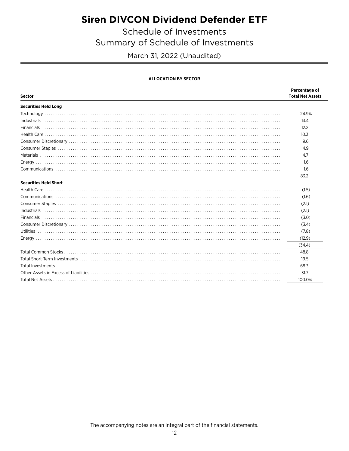Schedule of Investments

Summary of Schedule of Investments

March 31, 2022 (Unaudited)

|  | <b>ALLOCATION BY SECTOR</b> |
|--|-----------------------------|
|  |                             |

| Sector                          | Percentage of<br><b>Total Net Assets</b> |
|---------------------------------|------------------------------------------|
| <b>Securities Held Long</b>     |                                          |
|                                 | 24.9%                                    |
|                                 | 13.4                                     |
|                                 | 12.2                                     |
|                                 | 10.3                                     |
| $\mathsf{Consumer\,Discretion}$ | 9.6                                      |
|                                 | 4.9                                      |
|                                 | 4.7                                      |
|                                 | 1.6                                      |
|                                 | 1.6                                      |
|                                 | 83.2                                     |
| <b>Securities Held Short</b>    |                                          |
|                                 | (1.5)                                    |
|                                 | (1.6)                                    |
|                                 | (2.1)                                    |
|                                 | (2.1)                                    |
|                                 | (3.0)                                    |
|                                 | (3.4)                                    |
|                                 | (7.8)                                    |
|                                 | (12.9)                                   |
|                                 | (34.4)                                   |
|                                 | 48.8                                     |
|                                 | 19.5                                     |
|                                 | 68.3                                     |
|                                 | 31.7                                     |
|                                 | 100.0%                                   |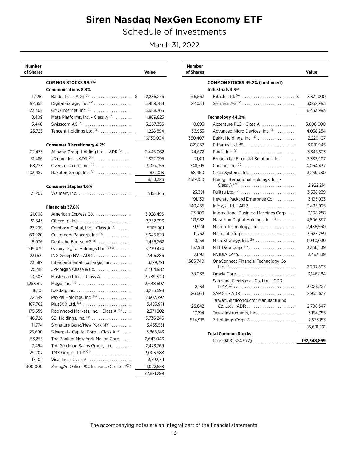## **Siren Nasdaq NexGen Economy ETF**

Schedule of Investments

March 31, 2022

| Number<br>of Shares |                                              | Value      |
|---------------------|----------------------------------------------|------------|
|                     | <b>COMMON STOCKS 99.2%</b>                   |            |
|                     | <b>Communications 8.3%</b>                   |            |
| 17,281              | Baidu, Inc. - ADR $(b)$ \$                   | 2,286,276  |
| 92,358              | Digital Garage, Inc. (a)                     | 3,489,788  |
| 173,302             | GMO Internet, Inc. (a)                       | 3,988,765  |
| 8,409               | Meta Platforms, Inc. - Class A (b)           | 1,869,825  |
| 5,440               | Swisscom AG <sup>(a)</sup>                   | 3,267,356  |
| 25,725              | Tencent Holdings Ltd. (a)                    | 1,228,894  |
|                     |                                              | 16,130,904 |
|                     | <b>Consumer Discretionary 4.2%</b>           |            |
| 22,473              | Alibaba Group Holding Ltd. - ADR (b)         | 2,445,062  |
| 31,486              | JD.com, Inc. - ADR $^{(b)}$                  | 1,822,095  |
| 68,723              | Overstock.com, Inc. (b)                      | 3,024,156  |
| 103,487             | Rakuten Group, Inc. (a)                      | 822,013    |
|                     |                                              | 8,113,326  |
|                     | <b>Consumer Staples 1.6%</b>                 |            |
| 21,207              |                                              | 3,158,146  |
|                     |                                              |            |
|                     | <b>Financials 37.6%</b>                      |            |
| 21,008              | American Express Co.                         | 3,928,496  |
| 51,543              |                                              | 2,752,396  |
| 27,209              | Coinbase Global, Inc. - Class A (b)          | 5,165,901  |
| 69,920              | Customers Bancorp, Inc. (b)                  | 3,645,629  |
| 8,076               | Deutsche Boerse AG <sup>(a)</sup>            | 1,456,262  |
| 219,479             | Galaxy Digital Holdings Ltd. (a)(b)          | 3,739,474  |
| 231,571             | ING Groep NV - ADR                           | 2,415,286  |
| 23,689              | Intercontinental Exchange, Inc.              | 3,129,791  |
| 25,418              | JPMorgan Chase & Co.                         | 3,464,982  |
| 10,603              | Mastercard, Inc. - Class A                   | 3,789,300  |
| 1,253,817           |                                              | 3,648,607  |
| 18,101              |                                              | 3,225,598  |
| 22,549              | PayPal Holdings, Inc. (b)                    | 2,607,792  |
| 187,762             | Plus500 Ltd. (a)                             | 3,483,971  |
| 175.559             | Robinhood Markets, Inc. - Class A (b)        | 2,371,802  |
| 146,726             | SBI Holdings, Inc. (a)                       | 3,736,246  |
| 11,774              | Signature Bank/New York NY                   | 3,455,551  |
| 25,690              | Silvergate Capital Corp. - Class A (b)       | 3,868,143  |
| 53,255              | The Bank of New York Mellon Corp.            | 2,643,046  |
| 7,494               | The Goldman Sachs Group, Inc.                | 2,473,769  |
| 29,207              | TMX Group Ltd. (a)(b)                        | 3,003,988  |
| 17,102              | Visa, Inc. - Class A                         | 3,792,711  |
| 300,000             | ZhongAn Online P&C Insurance Co. Ltd. (a)(b) | 1,022,558  |
|                     |                                              | 72,821,299 |

| <b>Number</b><br>of Shares |                                                                | Value       |
|----------------------------|----------------------------------------------------------------|-------------|
|                            | <b>COMMON STOCKS 99.2% (continued)</b>                         |             |
|                            | Industrials 3.3%                                               |             |
| 66,567                     | Hitachi Ltd. (a) \$                                            | 3,371,000   |
| 22,034                     | Siemens AG $(3)$                                               | 3,062,993   |
|                            |                                                                | 6,433,993   |
|                            | Technology 44.2%                                               |             |
| 10,693                     | Accenture PLC - Class A                                        | 3,606,000   |
| 36,933                     | Advanced Micro Devices. Inc. (b)                               | 4,038,254   |
| 360,407                    | Bakkt Holdings, Inc. (b)                                       | 2,220,107   |
| 821,852                    | Bitfarms Ltd. (b)                                              | 3,081,945   |
| 24,672                     | Block, Inc. $(b)$                                              | 3,345,523   |
| 21,411                     | Broadridge Financial Solutions, Inc.                           | 3,333,907   |
| 748.515                    |                                                                | 4,064,437   |
| 58,460                     |                                                                | 3,259,730   |
| 2,519,150                  | Ebang International Holdings, Inc. -                           |             |
|                            |                                                                | 2,922,214   |
| 23,391                     |                                                                | 3,538,239   |
| 191,139                    | Hewlett Packard Enterprise Co.                                 | 3,193,933   |
| 140,455                    | Infosys Ltd. - ADR $\ldots \ldots \ldots \ldots \ldots \ldots$ | 3,495,925   |
| 23,906                     | International Business Machines Corp.                          | 3,108,258   |
| 171,982                    | Marathon Digital Holdings, Inc. (b)                            | 4,806,897   |
| 31,924                     | Micron Technology, Inc.                                        | 2,486,560   |
| 11,752                     | Microsoft Corp.                                                | 3,623,259   |
| 10,158                     | MicroStrategy, Inc. (b)                                        | 4,940,039   |
| 167,981                    | NTT Data Corp. (a)                                             | 3,336,439   |
| 12.692                     |                                                                | 3,463,139   |
| 1,565,740                  | OneConnect Financial Technology Co.                            |             |
|                            |                                                                | 2,207,693   |
| 38,038                     | Oracle Corp                                                    | 3,146,884   |
|                            | Samsung Electronics Co. Ltd. - GDR                             |             |
| 2,133                      |                                                                | 3,026,727   |
| 26,664                     | SAP SE - ADR                                                   | 2,958,637   |
|                            | Taiwan Semiconductor Manufacturing                             |             |
| 26,842                     |                                                                | 2,798,547   |
| 17,194                     | Texas Instruments, Inc.                                        | 3,154,755   |
| 574.918                    |                                                                | 2,533,153   |
|                            |                                                                | 85,691,201  |
|                            | <b>Total Common Stocks</b>                                     |             |
|                            | (Cost \$190,324,972)                                           | 192,348,869 |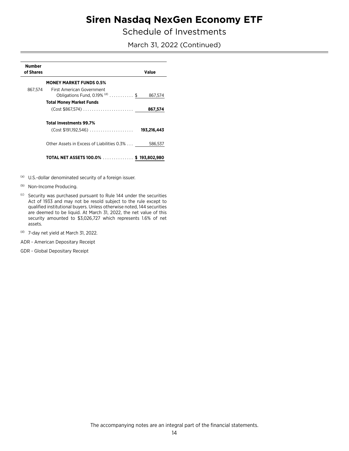## **Siren Nasdaq NexGen Economy ETF**

Schedule of Investments

March 31, 2022 (Continued)

| <b>Number</b><br>of Shares |                                                                 | Value       |
|----------------------------|-----------------------------------------------------------------|-------------|
|                            | <b>MONEY MARKET FUNDS 0.5%</b>                                  |             |
| 867.574                    | First American Government<br>Obligations Fund, $0.19\%$ (d)  \$ | 867,574     |
|                            | <b>Total Money Market Funds</b>                                 |             |
|                            |                                                                 | 867,574     |
|                            | <b>Total Investments 99.7%</b>                                  |             |
|                            |                                                                 | 193,216,443 |
|                            | Other Assets in Excess of Liabilities 0.3%                      | 586,537     |
|                            | TOTAL NET ASSETS 100.0% \$ 193,802,980                          |             |

(a) U.S.-dollar denominated security of a foreign issuer.

- (b) Non-Income Producing.
- <sup>(c)</sup> Security was purchased pursuant to Rule 144 under the securities Act of 1933 and may not be resold subject to the rule except to qualified institutional buyers. Unless otherwise noted, 144 securities are deemed to be liquid. At March 31, 2022, the net value of this security amounted to \$3,026,727 which represents 1.6% of net assets.
- $(d)$ 7-day net yield at March 31, 2022.

ADR - American Depositary Receipt

GDR - Global Depositary Receipt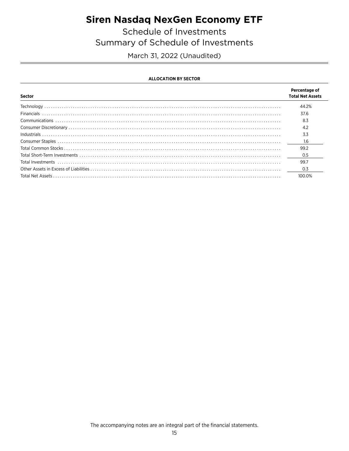## **Siren Nasdaq NexGen Economy ETF**

Schedule of Investments Summary of Schedule of Investments

March 31, 2022 (Unaudited)

#### **ALLOCATION BY SECTOR**

| Sector | Percentage of<br><b>Total Net Assets</b> |
|--------|------------------------------------------|
|        | 44.2%                                    |
|        | 37.6                                     |
|        | 8.3                                      |
|        | 4.2                                      |
|        | 3.3                                      |
|        | 16                                       |
|        | 99.2                                     |
|        | 0.5                                      |
|        | 99.7                                     |
|        | 0.3                                      |
|        | 100.0%                                   |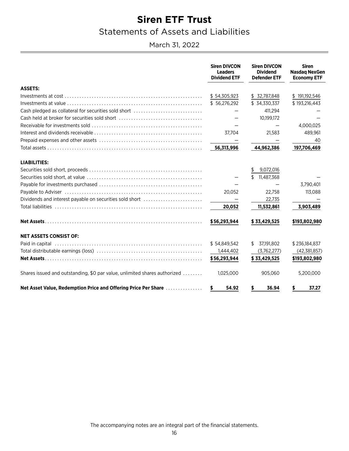### **Statements of Assets and Liabilities**

<span id="page-17-0"></span>March 31, 2022

|                                                                           | <b>Siren DIVCON</b><br><b>Leaders</b><br><b>Dividend ETF</b> | <b>Siren DIVCON</b><br><b>Dividend</b><br><b>Defender ETF</b> | <b>Siren</b><br><b>Nasdag NexGen</b><br><b>Economy ETF</b> |
|---------------------------------------------------------------------------|--------------------------------------------------------------|---------------------------------------------------------------|------------------------------------------------------------|
| <b>ASSETS:</b>                                                            |                                                              |                                                               |                                                            |
|                                                                           | \$54,305,923                                                 | \$ 32,787,848                                                 | \$191,192,546                                              |
|                                                                           | \$56,276,292                                                 | \$ 34,330,337                                                 | \$193,216,443                                              |
| Cash pledged as collateral for securities sold short                      |                                                              | 411,294                                                       |                                                            |
| Cash held at broker for securities sold short                             |                                                              | 10,199,172                                                    |                                                            |
|                                                                           |                                                              |                                                               | 4,000,025                                                  |
|                                                                           | 37.704                                                       | 21,583                                                        | 489,961                                                    |
|                                                                           |                                                              |                                                               | 40                                                         |
|                                                                           | 56,313,996                                                   | 44,962,386                                                    | 197,706,469                                                |
| <b>LIABILITIES:</b>                                                       |                                                              |                                                               |                                                            |
|                                                                           |                                                              | 9,072,016<br>\$                                               |                                                            |
|                                                                           |                                                              | 11,487,368<br>$\mathfrak{F}$                                  |                                                            |
|                                                                           |                                                              |                                                               | 3,790,401                                                  |
|                                                                           | 20,052                                                       | 22.758                                                        | 113,088                                                    |
| Dividends and interest payable on securities sold short                   |                                                              | 22,735                                                        |                                                            |
|                                                                           | 20,052                                                       | 11,532,861                                                    | 3,903,489                                                  |
|                                                                           | \$56,293,944                                                 | \$33,429,525                                                  | \$193,802,980                                              |
| <b>NET ASSETS CONSIST OF:</b>                                             |                                                              |                                                               |                                                            |
|                                                                           | \$54,849,542                                                 | \$7,191,802                                                   | \$236,184,837                                              |
|                                                                           | 1,444,402                                                    | (3,762,277)                                                   | (42,381,857)                                               |
|                                                                           | \$56,293,944                                                 | \$33,429,525                                                  | \$193,802,980                                              |
| Shares issued and outstanding, \$0 par value, unlimited shares authorized | 1.025.000                                                    | 905.060                                                       | 5,200,000                                                  |
| Net Asset Value, Redemption Price and Offering Price Per Share            | 54.92<br>s                                                   | \$<br>36.94                                                   | 37.27<br>\$                                                |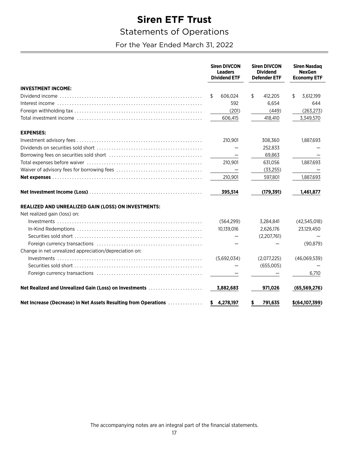### <span id="page-18-0"></span>**Statements of Operations**

For the Year Ended March 31, 2022

|                                                                 | <b>Siren DIVCON</b><br><b>Leaders</b><br><b>Dividend ETF</b> | <b>Siren DIVCON</b><br><b>Dividend</b><br><b>Defender ETF</b> | <b>Siren Nasdag</b><br><b>NexGen</b><br><b>Economy ETF</b> |  |
|-----------------------------------------------------------------|--------------------------------------------------------------|---------------------------------------------------------------|------------------------------------------------------------|--|
| <b>INVESTMENT INCOME:</b>                                       |                                                              |                                                               |                                                            |  |
|                                                                 | 606,024<br>S                                                 | \$<br>412,205                                                 | \$<br>3,612,199                                            |  |
|                                                                 | 592                                                          | 6,654                                                         | 644                                                        |  |
|                                                                 | (201)                                                        | (449)                                                         | (263, 273)                                                 |  |
|                                                                 | 606,415                                                      | 418,410                                                       | 3,349,570                                                  |  |
| <b>EXPENSES:</b>                                                |                                                              |                                                               |                                                            |  |
|                                                                 | 210,901                                                      | 308,360                                                       | 1,887,693                                                  |  |
|                                                                 |                                                              | 252,833                                                       |                                                            |  |
|                                                                 |                                                              | 69,863                                                        |                                                            |  |
|                                                                 | 210,901                                                      | 631.056                                                       | 1.887.693                                                  |  |
|                                                                 | $\overline{\phantom{0}}$                                     | (33,255)                                                      |                                                            |  |
|                                                                 | 210,901                                                      | 597,801                                                       | 1,887,693                                                  |  |
|                                                                 | 395,514                                                      | (179, 391)                                                    | 1,461,877                                                  |  |
| REALIZED AND UNREALIZED GAIN (LOSS) ON INVESTMENTS:             |                                                              |                                                               |                                                            |  |
| Net realized gain (loss) on:                                    |                                                              |                                                               |                                                            |  |
|                                                                 | (564, 299)                                                   | 3,284,841                                                     | (42,545,018)                                               |  |
|                                                                 | 10,139,016                                                   | 2,626,176                                                     | 23,129,450                                                 |  |
|                                                                 |                                                              | (2,207,761)                                                   |                                                            |  |
|                                                                 |                                                              |                                                               | (90, 879)                                                  |  |
| Change in net unrealized appreciation/depreciation on:          |                                                              |                                                               |                                                            |  |
|                                                                 | (5,692,034)                                                  | (2,077,225)                                                   | (46,069,539)                                               |  |
|                                                                 |                                                              | (655,005)                                                     |                                                            |  |
|                                                                 |                                                              |                                                               | 6,710                                                      |  |
| Net Realized and Unrealized Gain (Loss) on Investments          | 3,882,683                                                    | 971,026                                                       | (65, 569, 276)                                             |  |
| Net Increase (Decrease) in Net Assets Resulting from Operations | \$4,278,197                                                  | 791,635<br>s                                                  | $$$ (64,107,399)                                           |  |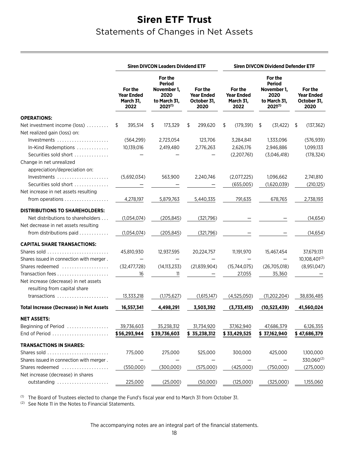## <span id="page-19-0"></span>**Siren ETF Trust** Statements of Changes in Net Assets

|                                                      | <b>Siren DIVCON Leaders Dividend ETF</b><br><b>Siren DIVCON Dividend Defender ETF</b> |                                                                                 |                                                     |                                                   |                                                                                 |                                                     |
|------------------------------------------------------|---------------------------------------------------------------------------------------|---------------------------------------------------------------------------------|-----------------------------------------------------|---------------------------------------------------|---------------------------------------------------------------------------------|-----------------------------------------------------|
|                                                      | For the<br><b>Year Ended</b><br>March 31,<br>2022                                     | For the<br><b>Period</b><br>November 1,<br>2020<br>to March 31,<br>$2021^{(1)}$ | For the<br><b>Year Ended</b><br>October 31,<br>2020 | For the<br><b>Year Ended</b><br>March 31,<br>2022 | For the<br><b>Period</b><br>November 1,<br>2020<br>to March 31,<br>$2021^{(1)}$ | For the<br><b>Year Ended</b><br>October 31,<br>2020 |
| <b>OPERATIONS:</b>                                   |                                                                                       |                                                                                 |                                                     |                                                   |                                                                                 |                                                     |
| Net investment income (loss)                         | 395,514<br>S                                                                          | \$<br>173,329                                                                   | 299,620<br>\$                                       | \$<br>(179, 391)                                  | \$<br>(31, 422)                                                                 | \$<br>(137, 362)                                    |
| Net realized gain (loss) on:                         |                                                                                       |                                                                                 |                                                     |                                                   |                                                                                 |                                                     |
| Investments                                          | (564, 299)                                                                            | 2,723,054                                                                       | 123,706                                             | 3,284,841                                         | 1.333.096                                                                       | (576, 939)                                          |
| In-Kind Redemptions                                  | 10,139,016                                                                            | 2,419,480                                                                       | 2,776,263                                           | 2,626,176                                         | 2,946,886                                                                       | 1,099,133                                           |
| Securities sold short                                |                                                                                       |                                                                                 |                                                     | (2,207,761)                                       | (3,046,418)                                                                     | (178, 324)                                          |
| Change in net unrealized                             |                                                                                       |                                                                                 |                                                     |                                                   |                                                                                 |                                                     |
| appreciation/depreciation on:<br>Investments         | (5,692,034)                                                                           | 563,900                                                                         | 2,240,746                                           | (2,077,225)                                       | 1,096,662                                                                       | 2,741,810                                           |
| Securities sold short                                |                                                                                       |                                                                                 |                                                     | (655,005)                                         | (1,620,039)                                                                     | (210, 125)                                          |
| Net increase in net assets resulting                 |                                                                                       |                                                                                 |                                                     |                                                   |                                                                                 |                                                     |
| from operations                                      | 4,278,197                                                                             | 5,879,763                                                                       | 5,440,335                                           | 791,635                                           | 678,765                                                                         | 2,738,193                                           |
| <b>DISTRIBUTIONS TO SHAREHOLDERS:</b>                |                                                                                       |                                                                                 |                                                     |                                                   |                                                                                 |                                                     |
| Net distributions to shareholders                    | (1,054,074)                                                                           | (205, 845)                                                                      | (321,796)                                           |                                                   |                                                                                 | (14, 654)                                           |
| Net decrease in net assets resulting                 |                                                                                       |                                                                                 |                                                     |                                                   |                                                                                 |                                                     |
| from distributions paid                              | (1,054,074)                                                                           | (205, 845)                                                                      | (321,796)                                           |                                                   |                                                                                 | (14, 654)                                           |
| <b>CAPITAL SHARE TRANSACTIONS:</b>                   |                                                                                       |                                                                                 |                                                     |                                                   |                                                                                 |                                                     |
| Shares sold                                          | 45,810,930                                                                            | 12,937,595                                                                      | 20,224,757                                          | 11,191,970                                        | 15,467,454                                                                      | 37,679,131                                          |
| Shares issued in connection with merger.             |                                                                                       |                                                                                 |                                                     |                                                   |                                                                                 | 10,108,401(2)                                       |
| Shares redeemed                                      | (32, 477, 728)                                                                        | (14, 113, 233)                                                                  | (21, 839, 904)                                      | (15,744,075)                                      | (26,705,018)                                                                    | (8,951,047)                                         |
| Transaction fees                                     | 16                                                                                    | 11                                                                              |                                                     | 27,055                                            | 35,360                                                                          |                                                     |
| Net increase (decrease) in net assets                |                                                                                       |                                                                                 |                                                     |                                                   |                                                                                 |                                                     |
| resulting from capital share                         |                                                                                       |                                                                                 |                                                     |                                                   |                                                                                 |                                                     |
| transactions                                         | 13,333,218                                                                            | (1,175,627)                                                                     | (1,615,147)                                         | (4,525,050)                                       | (11, 202, 204)                                                                  | 38,836,485                                          |
| <b>Total Increase (Decrease) in Net Assets</b>       | 16,557,341                                                                            | 4,498,291                                                                       | 3,503,392                                           | (3,733,415)                                       | (10, 523, 439)                                                                  | 41,560,024                                          |
| <b>NET ASSETS:</b>                                   |                                                                                       |                                                                                 |                                                     |                                                   |                                                                                 |                                                     |
| Beginning of Period                                  | 39,736,603                                                                            | 35,238,312                                                                      | 31,734,920                                          | 37,162,940                                        | 47,686,379                                                                      | 6,126,355                                           |
| End of Period                                        | \$56,293,944                                                                          | \$39,736,603                                                                    | \$ 35,238,312                                       | \$33,429,525                                      | \$37,162,940                                                                    | \$47,686,379                                        |
| <b>TRANSACTIONS IN SHARES:</b>                       |                                                                                       |                                                                                 |                                                     |                                                   |                                                                                 |                                                     |
| Shares sold                                          | 775,000                                                                               | 275,000                                                                         | 525,000                                             | 300,000                                           | 425,000                                                                         | 1,100,000                                           |
| Shares issued in connection with merger.             |                                                                                       |                                                                                 |                                                     |                                                   |                                                                                 | 330,060(2)                                          |
| Shares redeemed<br>Net increase (decrease) in shares | (550,000)                                                                             | (300,000)                                                                       | (575,000)                                           | (425,000)                                         | (750,000)                                                                       | (275,000)                                           |
| outstanding                                          | 225,000                                                                               | (25,000)                                                                        | (50,000)                                            | (125,000)                                         | (325,000)                                                                       | 1,155,060                                           |

<sup>(1)</sup> The Board of Trustees elected to change the Fund's fiscal year end to March 31 from October 31.

<sup>(2)</sup> See Note 11 in the Notes to Financial Statements.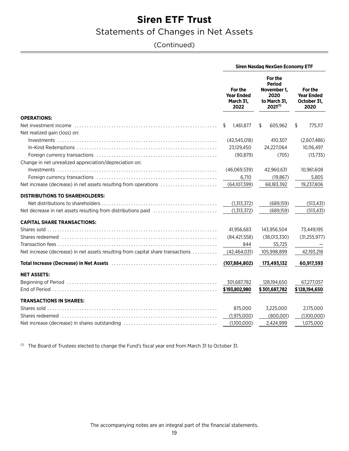### Statements of Changes in Net Assets

### (Continued)

|                                                                                                                | <b>Siren Nasdaq NexGen Economy ETF</b>            |                                                                                 |                                                     |  |  |
|----------------------------------------------------------------------------------------------------------------|---------------------------------------------------|---------------------------------------------------------------------------------|-----------------------------------------------------|--|--|
|                                                                                                                | For the<br><b>Year Ended</b><br>March 31,<br>2022 | For the<br><b>Period</b><br>November 1.<br>2020<br>to March 31,<br>$2021^{(1)}$ | For the<br><b>Year Ended</b><br>October 31,<br>2020 |  |  |
| <b>OPERATIONS:</b>                                                                                             |                                                   |                                                                                 |                                                     |  |  |
|                                                                                                                | 1.461.877<br>S                                    | 605,962<br>S                                                                    | 775,117<br>\$                                       |  |  |
| Net realized gain (loss) on:                                                                                   |                                                   |                                                                                 |                                                     |  |  |
|                                                                                                                | (42,545,018)                                      | 410,307                                                                         | (2,607,486)                                         |  |  |
|                                                                                                                | 23,129,450                                        | 24,227,064                                                                      | 10,116,497                                          |  |  |
|                                                                                                                | (90, 879)                                         | (705)                                                                           | (13,735)                                            |  |  |
| Change in net unrealized appreciation/depreciation on:                                                         |                                                   |                                                                                 |                                                     |  |  |
|                                                                                                                | (46,069,539)                                      | 42,960,631                                                                      | 10,961,608                                          |  |  |
|                                                                                                                | 6,710                                             | (19, 867)                                                                       | 5,805                                               |  |  |
| Net increase (decrease) in net assets resulting from operations                                                | (64,107,399)                                      | 68,183,392                                                                      | 19,237,806                                          |  |  |
| <b>DISTRIBUTIONS TO SHAREHOLDERS:</b>                                                                          |                                                   |                                                                                 |                                                     |  |  |
|                                                                                                                | (1,313,372)                                       | (689,159)                                                                       | (513, 431)                                          |  |  |
| Net decrease in net assets resulting from distributions paid                                                   | (1,313,372)                                       | (689,159)                                                                       | (513, 431)                                          |  |  |
| <b>CAPITAL SHARE TRANSACTIONS:</b>                                                                             |                                                   |                                                                                 |                                                     |  |  |
|                                                                                                                | 41,956,683                                        | 143,956,504                                                                     | 73,449,195                                          |  |  |
|                                                                                                                | (84, 421, 558)                                    | (38,013,330)                                                                    | (31, 255, 977)                                      |  |  |
|                                                                                                                | 844                                               | 55,725                                                                          |                                                     |  |  |
| Net increase (decrease) in net assets resulting from capital share transactions                                | (42, 464, 031)                                    | 105,998,899                                                                     | 42,193,218                                          |  |  |
|                                                                                                                |                                                   |                                                                                 |                                                     |  |  |
|                                                                                                                | (107, 884, 802)                                   | 173,493,132                                                                     | 60,917,593                                          |  |  |
| <b>NET ASSETS:</b>                                                                                             |                                                   |                                                                                 |                                                     |  |  |
|                                                                                                                | 301,687,782                                       | 128,194,650                                                                     | 67,277,057                                          |  |  |
|                                                                                                                | \$193,802,980                                     | \$301,687,782                                                                   | \$128,194,650                                       |  |  |
| <b>TRANSACTIONS IN SHARES:</b>                                                                                 |                                                   |                                                                                 |                                                     |  |  |
|                                                                                                                | 875,000                                           | 3,225,000                                                                       | 2,175,000                                           |  |  |
| Shares redeemed (and according to the control of the control of the control of the state of the state of the s | (1,975,000)                                       | (800,001)                                                                       | (1,100,000)                                         |  |  |
|                                                                                                                | (1,100,000)                                       | 2,424,999                                                                       | 1,075,000                                           |  |  |
|                                                                                                                |                                                   |                                                                                 |                                                     |  |  |

(1) The Board of Trustees elected to change the Fund's fiscal year end from March 31 to October 31.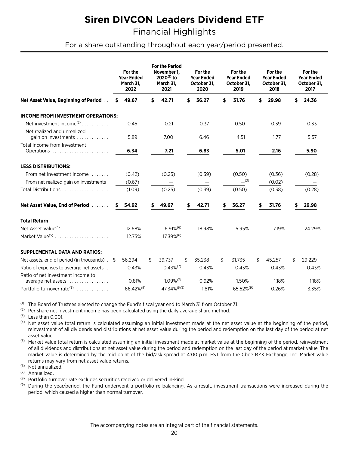<span id="page-21-0"></span>**Financial Highlights** 

For a share outstanding throughout each year/period presented.

|                                                         |   | For the<br><b>Year Ended</b><br>March 31,<br>2022 |     | <b>For the Period</b><br>November 1,<br>$2020^{(1)}$ to<br>March 31,<br>2021 |    | For the<br><b>Year Ended</b><br>October 31.<br>2020 |     | For the<br><b>Year Ended</b><br>October 31.<br>2019 |    | For the<br><b>Year Ended</b><br>October 31.<br>2018 |    | For the<br><b>Year Ended</b><br>October 31,<br>2017 |  |
|---------------------------------------------------------|---|---------------------------------------------------|-----|------------------------------------------------------------------------------|----|-----------------------------------------------------|-----|-----------------------------------------------------|----|-----------------------------------------------------|----|-----------------------------------------------------|--|
| Net Asset Value, Beginning of Period                    | S | 49.67                                             | \$  | 42.71                                                                        | \$ | 36.27                                               | \$  | 31.76                                               | \$ | 29.98                                               | \$ | 24.36                                               |  |
| <b>INCOME FROM INVESTMENT OPERATIONS:</b>               |   |                                                   |     |                                                                              |    |                                                     |     |                                                     |    |                                                     |    |                                                     |  |
| Net investment income <sup>(2)</sup>                    |   | 0.45                                              |     | 0.21                                                                         |    | 0.37                                                |     | 0.50                                                |    | 0.39                                                |    | 0.33                                                |  |
| Net realized and unrealized<br>gain on investments      |   | 5.89                                              |     | 7.00                                                                         |    | 6.46                                                |     | 4.51                                                |    | 1.77                                                |    | 5.57                                                |  |
| Total Income from Investment<br>Operations              |   | 6.34                                              |     | 7.21                                                                         |    | 6.83                                                |     | 5.01                                                |    | 2.16                                                |    | 5.90                                                |  |
| <b>LESS DISTRIBUTIONS:</b>                              |   |                                                   |     |                                                                              |    |                                                     |     |                                                     |    |                                                     |    |                                                     |  |
| From net investment income                              |   | (0.42)                                            |     | (0.25)                                                                       |    | (0.39)                                              |     | (0.50)                                              |    | (0.36)                                              |    | (0.28)                                              |  |
| From net realized gain on investments                   |   | (0.67)                                            |     | -                                                                            |    |                                                     |     | $-$ (3)                                             |    | (0.02)                                              |    |                                                     |  |
| Total Distributions                                     |   | (1.09)                                            |     | (0.25)                                                                       |    | (0.39)                                              |     | (0.50)                                              |    | (0.38)                                              |    | (0.28)                                              |  |
| Net Asset Value, End of Period                          | s | 54.92                                             |     | 49.67                                                                        | \$ | 42.71                                               |     | 36.27                                               | \$ | 31.76                                               |    | 29.98                                               |  |
| <b>Total Return</b>                                     |   |                                                   |     |                                                                              |    |                                                     |     |                                                     |    |                                                     |    |                                                     |  |
| Net Asset Value <sup>(4)</sup>                          |   | 12.68%                                            |     | $16.91\%$ <sup>(6)</sup>                                                     |    | 18.98%                                              |     | 15.95%                                              |    | 7.19%                                               |    | 24.29%                                              |  |
| Market Value <sup>(5)</sup>                             |   | 12.75%                                            |     | $17.39\%$ <sup>(6)</sup>                                                     |    |                                                     |     |                                                     |    |                                                     |    |                                                     |  |
| <b>SUPPLEMENTAL DATA AND RATIOS:</b>                    |   |                                                   |     |                                                                              |    |                                                     |     |                                                     |    |                                                     |    |                                                     |  |
| Net assets, end of period (in thousands). \$            |   | 56.294                                            | \$. | 39,737                                                                       | \$ | 35,238                                              | \$. | 31,735                                              | £. | 45,257                                              | \$ | 29,229                                              |  |
| Ratio of expenses to average net assets.                |   | 0.43%                                             |     | $0.43\%^{(7)}$                                                               |    | 0.43%                                               |     | 0.43%                                               |    | 0.43%                                               |    | 0.43%                                               |  |
| Ratio of net investment income to<br>average net assets |   | 0.81%                                             |     | $1.09\%^{(7)}$                                                               |    | 0.92%                                               |     | 1.50%                                               |    | 1.18%                                               |    | 1.18%                                               |  |
| Portfolio turnover rate <sup>(8)</sup>                  |   | 66.42% <sup>(9)</sup>                             |     | 47.34% (6)(9)                                                                |    | 1.81%                                               |     | 65.52% <sup>(9)</sup>                               |    | 0.26%                                               |    | 3.35%                                               |  |

<sup>(1)</sup> The Board of Trustees elected to change the Fund's fiscal year end to March 31 from October 31.

<sup>(2)</sup> Per share net investment income has been calculated using the daily average share method.

 $(3)$  Less than 0.001.

<sup>(4)</sup> Net asset value total return is calculated assuming an initial investment made at the net asset value at the beginning of the period, reinvestment of all dividends and distributions at net asset value during the period and redemption on the last day of the period at net asset value.

<sup>(5)</sup> Market value total return is calculated assuming an initial investment made at market value at the beginning of the period, reinvestment of all dividends and distributions at net asset value during the period and redemption on the last day of the period at market value. The market value is determined by the mid point of the bid/ask spread at 4:00 p.m. EST from the Cboe BZX Exchange, Inc. Market value returns may vary from net asset value returns.

<sup>(6)</sup> Not annualized.

 $(7)$ Annualized.

 $(8)$ Portfolio turnover rate excludes securities received or delivered in-kind.

 $(9)$ During the year/period, the Fund underwent a portfolio re-balancing. As a result, investment transactions were increased during the period, which caused a higher than normal turnover.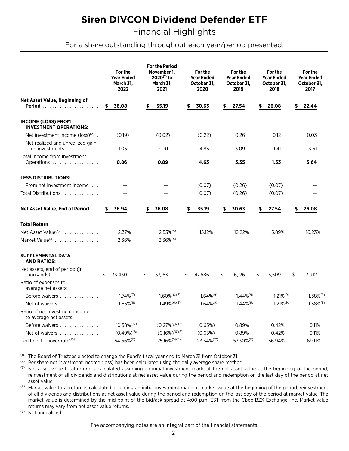**Financial Highlights** 

For a share outstanding throughout each year/period presented.

|                                                            | For the<br><b>Year Ended</b><br>March 31,<br>2022 |    | <b>For the Period</b><br>November 1,<br>2020 <sup>(1)</sup> to<br>March 31,<br>2021 | For the<br><b>Year Ended</b><br>October 31,<br>2020 | For the<br><b>Year Ended</b><br>October 31,<br>2019 | For the<br><b>Year Ended</b><br>October 31,<br>2018 | For the<br><b>Year Ended</b><br>October 31,<br>2017 |
|------------------------------------------------------------|---------------------------------------------------|----|-------------------------------------------------------------------------------------|-----------------------------------------------------|-----------------------------------------------------|-----------------------------------------------------|-----------------------------------------------------|
| Net Asset Value, Beginning of<br><b>Period</b>             | \$<br>36.08                                       | \$ | 35.19                                                                               | \$<br>30.63                                         | \$<br>27.54                                         | \$<br>26.08                                         | \$<br>22.44                                         |
| <b>INCOME (LOSS) FROM</b><br><b>INVESTMENT OPERATIONS:</b> |                                                   |    |                                                                                     |                                                     |                                                     |                                                     |                                                     |
| Net investment income ( $loss$ ) <sup>(2)</sup> .          | (0.19)                                            |    | (0.02)                                                                              | (0.22)                                              | 0.26                                                | 0.12                                                | 0.03                                                |
| Net realized and unrealized gain<br>on investments         | 1.05                                              |    | 0.91                                                                                | 4.85                                                | 3.09                                                | 1.41                                                | 3.61                                                |
| Total Income from Investment<br>Operations                 | 0.86                                              |    | 0.89                                                                                | 4.63                                                | 3.35                                                | 1.53                                                | 3.64                                                |
| <b>LESS DISTRIBUTIONS:</b>                                 |                                                   |    |                                                                                     |                                                     |                                                     |                                                     |                                                     |
| From net investment income                                 |                                                   |    |                                                                                     | (0.07)                                              | (0.26)                                              | (0.07)                                              |                                                     |
| Total Distributions                                        |                                                   |    |                                                                                     | (0.07)                                              | (0.26)                                              | (0.07)                                              |                                                     |
| <b>Net Asset Value, End of Period</b>                      | \$<br>36.94                                       | S  | 36.08                                                                               | \$<br>35.19                                         | 30.63                                               | \$<br>27.54                                         | \$<br>26.08                                         |
| <b>Total Return</b>                                        |                                                   |    |                                                                                     |                                                     |                                                     |                                                     |                                                     |
| Net Asset Value <sup>(3)</sup>                             | 2.37%                                             |    | $2.53\%^{(5)}$                                                                      | 15.12%                                              | 12.22%                                              | 5.89%                                               | 16.23%                                              |
| Market Value <sup>(4)</sup>                                | 2.36%                                             |    | $2.36\%^{(5)}$                                                                      |                                                     |                                                     |                                                     |                                                     |
| <b>SUPPLEMENTAL DATA</b><br><b>AND RATIOS:</b>             |                                                   |    |                                                                                     |                                                     |                                                     |                                                     |                                                     |
| Net assets, end of period (in<br>thousands) $\ldots$ \$    | 33,430                                            | \$ | 37,163                                                                              | \$<br>47,686                                        | \$<br>6,126                                         | \$<br>5,509                                         | \$<br>3,912                                         |
| Ratio of expenses to<br>average net assets:                |                                                   |    |                                                                                     |                                                     |                                                     |                                                     |                                                     |
| Before waivers                                             | $1.74\%^{(7)}$                                    |    | $1.60\%$ <sup>(6)(7)</sup>                                                          | $1.64\%^{(9)}$                                      | $1.44\%^{(9)}$                                      | $1.21\%^{(9)}$                                      | $1.38\%^{(9)}$                                      |
| Net of waivers                                             | $1.65\%$ <sup>(8)</sup>                           |    | $1.49\%$ <sup>(6)(8)</sup>                                                          | $1.64\%^{(9)}$                                      | $1.44\%^{(9)}$                                      | $1.21\%^{(9)}$                                      | $1.38\%^{(9)}$                                      |
| Ratio of net investment income<br>to average net assets:   |                                                   |    |                                                                                     |                                                     |                                                     |                                                     |                                                     |
| Before waivers                                             | $(0.58\%)^{(7)}$                                  |    | $(0.27\%)^{(6)(7)}$                                                                 | (0.65%)                                             | 0.89%                                               | 0.42%                                               | 0.11%                                               |
| Net of waivers                                             | $(0.49\%)^{(8)}$                                  |    | $(0.16\%)^{(6)(8)}$                                                                 | (0.65%)                                             | 0.89%                                               | 0.42%                                               | 0.11%                                               |
| Portfolio turnover rate <sup>(10)</sup>                    | 54.66%(11)                                        |    | 75.16%(5)(11)                                                                       | 23.34%(12)                                          | 57.30%(11)                                          | 36.94%                                              | 69.11%                                              |

 $(1)$ The Board of Trustees elected to change the Fund's fiscal year end to March 31 from October 31.

<sup>(2)</sup> Per share net investment income (loss) has been calculated using the daily average share method.

 $(3)$ Net asset value total return is calculated assuming an initial investment made at the net asset value at the beginning of the period, reinvestment of all dividends and distributions at net asset value during the period and redemption on the last day of the period at net asset value.

<sup>(4)</sup> Market value total return is calculated assuming an initial investment made at market value at the beginning of the period, reinvestment of all dividends and distributions at net asset value during the period and redemption on the last day of the period at market value. The market value is determined by the mid point of the bid/ask spread at 4:00 p.m. EST from the Cboe BZX Exchange, Inc. Market value returns may vary from net asset value returns.

(5) Not annualized.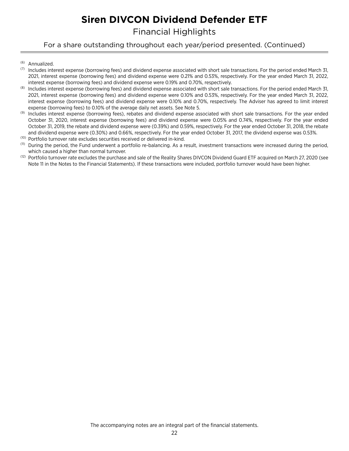Financial Highlights

For a share outstanding throughout each year/period presented. (Continued)

- (6) Annualized.
- $(7)$  Includes interest expense (borrowing fees) and dividend expense associated with short sale transactions. For the period ended March 31, 2021, interest expense (borrowing fees) and dividend expense were 0.21% and 0.53%, respectively. For the year ended March 31, 2022, interest expense (borrowing fees) and dividend expense were 0.19% and 0.70%, respectively.
- (8) Includes interest expense (borrowing fees) and dividend expense associated with short sale transactions. For the period ended March 31, 2021, interest expense (borrowing fees) and dividend expense were 0.10% and 0.53%, respectively. For the year ended March 31, 2022, interest expense (borrowing fees) and dividend expense were 0.10% and 0.70%, respectively. The Adviser has agreed to limit interest expense (borrowing fees) to 0.10% of the average daily net assets. See Note 5.
- (9) Includes interest expense (borrowing fees), rebates and dividend expense associated with short sale transactions. For the year ended October 31, 2020, interest expense (borrowing fees) and dividend expense were 0.05% and 0.74%, respectively. For the year ended October 31, 2019, the rebate and dividend expense were (0.39%) and 0.59%, respectively. For the year ended October 31, 2018, the rebate and dividend expense were (0.30%) and 0.66%, respectively. For the year ended October 31, 2017, the dividend expense was 0.53%.
- (10) Portfolio turnover rate excludes securities received or delivered in-kind.
- <sup>(11)</sup> During the period, the Fund underwent a portfolio re-balancing. As a result, investment transactions were increased during the period, which caused a higher than normal turnover.
- <sup>(12)</sup> Portfolio turnover rate excludes the purchase and sale of the Reality Shares DIVCON Dividend Guard ETF acquired on March 27, 2020 (see Note 11 in the Notes to the Financial Statements). If these transactions were included, portfolio turnover would have been higher.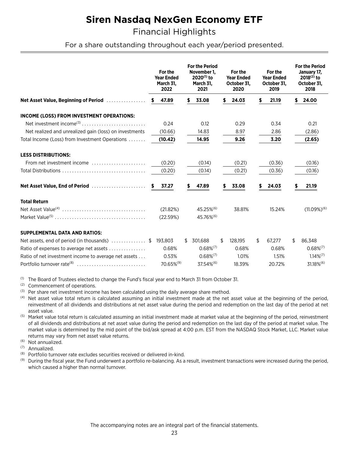## **Siren Nasdag NexGen Economy ETF**

**Financial Highlights** 

For a share outstanding throughout each year/period presented.

|                                                        |  | For the<br><b>Year Ended</b><br>March 31,<br>2022 |    | <b>For the Period</b><br>November 1,<br>2020 <sup>(1)</sup> to<br>March 31,<br>2021 |   | For the<br><b>Year Ended</b><br>October 31,<br>2020 | For the<br><b>Year Ended</b><br>October 31.<br>2019 | <b>For the Period</b><br>January 17,<br>$2018^{(2)}$ to<br>October 31,<br>2018 |                   |
|--------------------------------------------------------|--|---------------------------------------------------|----|-------------------------------------------------------------------------------------|---|-----------------------------------------------------|-----------------------------------------------------|--------------------------------------------------------------------------------|-------------------|
| Net Asset Value, Beginning of Period                   |  | 47.89<br>s.                                       | \$ | 33.08                                                                               |   | 24.03                                               | \$<br>21.19                                         | S                                                                              | 24.00             |
| INCOME (LOSS) FROM INVESTMENT OPERATIONS:              |  |                                                   |    |                                                                                     |   |                                                     |                                                     |                                                                                |                   |
| Net investment income <sup>(3)</sup>                   |  | 0.24                                              |    | 0.12                                                                                |   | 0.29                                                | 0.34                                                |                                                                                | 0.21              |
| Net realized and unrealized gain (loss) on investments |  | (10.66)                                           |    | 14.83                                                                               |   | 8.97                                                | 2.86                                                |                                                                                | (2.86)            |
| Total Income (Loss) from Investment Operations         |  | (10.42)                                           |    | 14.95                                                                               |   | 9.26                                                | 3.20                                                |                                                                                | (2.65)            |
| <b>LESS DISTRIBUTIONS:</b>                             |  |                                                   |    |                                                                                     |   |                                                     |                                                     |                                                                                |                   |
| From net investment income                             |  | (0.20)                                            |    | (0.14)                                                                              |   | (0.21)                                              | (0.36)                                              |                                                                                | (0.16)            |
|                                                        |  | (0.20)                                            |    | (0.14)                                                                              |   | (0.21)                                              | (0.36)                                              |                                                                                | (0.16)            |
| Net Asset Value, End of Period                         |  | 37.27<br>s.                                       | S. | 47.89                                                                               |   | 33.08                                               | \$<br>24.03                                         | S                                                                              | 21.19             |
| <b>Total Return</b>                                    |  |                                                   |    |                                                                                     |   |                                                     |                                                     |                                                                                |                   |
|                                                        |  | (21.82%)                                          |    | 45.25% <sup>(6)</sup>                                                               |   | 38.81%                                              | 15.24%                                              |                                                                                | $(11.09\%)^{(6)}$ |
|                                                        |  | (22.59%)                                          |    | 45.76% <sup>(6)</sup>                                                               |   |                                                     |                                                     |                                                                                |                   |
| <b>SUPPLEMENTAL DATA AND RATIOS:</b>                   |  |                                                   |    |                                                                                     |   |                                                     |                                                     |                                                                                |                   |
| Net assets, end of period (in thousands) \$            |  | 193.803                                           |    | \$ 301,688                                                                          | S | 128,195                                             | \$<br>67,277                                        | S                                                                              | 86,348            |
| Ratio of expenses to average net assets                |  | 0.68%                                             |    | $0.68\%^{(7)}$                                                                      |   | 0.68%                                               | 0.68%                                               |                                                                                | $0.68\%^{(7)}$    |
| Ratio of net investment income to average net assets   |  | 0.53%                                             |    | $0.68\%^{(7)}$                                                                      |   | 1.01%                                               | 1.51%                                               |                                                                                | $1.14\%^{(7)}$    |

<sup>(1)</sup> The Board of Trustees elected to change the Fund's fiscal year end to March 31 from October 31.

 $(2)$ Commencement of operations.

Portfolio turnover rate<sup>(8)</sup> ..............................

(3) Per share net investment income has been calculated using the daily average share method.

<sup>(4)</sup> Net asset value total return is calculated assuming an initial investment made at the net asset value at the beginning of the period, reinvestment of all dividends and distributions at net asset value during the period and redemption on the last day of the period at net asset value.

70.65%(9)

37.54%<sup>(6)</sup>

18.39%

20.72%

31.18%<sup>(6)</sup>

(5) Market value total return is calculated assuming an initial investment made at market value at the beginning of the period, reinvestment of all dividends and distributions at net asset value during the period and redemption on the last day of the period at market value. The market value is determined by the mid point of the bid/ask spread at 4:00 p.m. EST from the NASDAQ Stock Market, LLC. Market value returns may vary from net asset value returns.

<sup>(6)</sup> Not annualized.

(7) Annualized.

(8) Portfolio turnover rate excludes securities received or delivered in-kind.

 $(9)$ During the fiscal year, the Fund underwent a portfolio re-balancing. As a result, investment transactions were increased during the period, which caused a higher than normal turnover.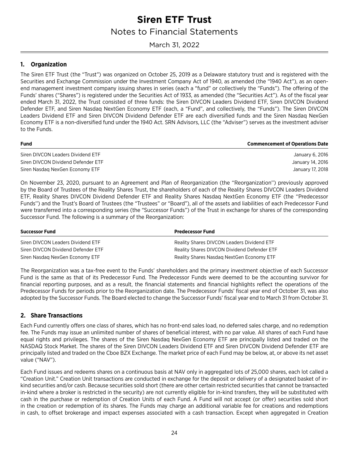<span id="page-25-0"></span>March 31, 2022

### **1. Organization**

The Siren ETF Trust (the "Trust") was organized on October 25, 2019 as a Delaware statutory trust and is registered with the Securities and Exchange Commission under the Investment Company Act of 1940, as amended (the "1940 Act"), as an openend management investment company issuing shares in series (each a "fund" or collectively the "Funds"). The offering of the Funds' shares ("Shares") is registered under the Securities Act of 1933, as amended (the "Securities Act"). As of the fiscal year ended March 31, 2022, the Trust consisted of three funds: the Siren DIVCON Leaders Dividend ETF, Siren DIVCON Dividend Defender ETF, and Siren Nasdaq NextGen Economy ETF (each, a "Fund", and collectively, the "Funds"). The Siren DIVCON Leaders Dividend ETF and Siren DIVCON Dividend Defender ETF are each diversified funds and the Siren Nasdaq NexGen Economy ETF is a non-diversified fund under the 1940 Act. SRN Advisors, LLC (the "Adviser") serves as the investment adviser to the Funds.

| <b>Fund</b>                        | <b>Commencement of Operations Date</b> |
|------------------------------------|----------------------------------------|
| Siren DIVCON Leaders Dividend ETF  | January 6, 2016                        |
| Siren DIVCON Dividend Defender ETF | January 14, 2016                       |
| Siren Nasdag NexGen Economy ETF    | January 17, 2018                       |

On November 23, 2020, pursuant to an Agreement and Plan of Reorganization (the ''Reorganization'') previously approved by the Board of Trustees of the Reality Shares Trust, the shareholders of each of the Reality Shares DIVCON Leaders Dividend ETF, Reality Shares DIVCON Dividend Defender ETF and Reality Shares Nasdaq NextGen Economy ETF (the ''Predecessor Funds'') and the Trust's Board of Trustees (the "Trustees" or "Board"), all of the assets and liabilities of each Predecessor Fund were transferred into a corresponding series (the "Successor Funds") of the Trust in exchange for shares of the corresponding Successor Fund. The following is a summary of the Reorganization:

| <b>Successor Fund</b>              | <b>Predecessor Fund</b>                     |
|------------------------------------|---------------------------------------------|
| Siren DIVCON Leaders Dividend ETF  | Reality Shares DIVCON Leaders Dividend ETF  |
| Siren DIVCON Dividend Defender ETF | Reality Shares DIVCON Dividend Defender ETF |
| Siren Nasdag NexGen Economy ETF    | Reality Shares Nasdag NextGen Economy ETF   |

The Reorganization was a tax-free event to the Funds' shareholders and the primary investment objective of each Successor Fund is the same as that of its Predecessor Fund. The Predecessor Funds were deemed to be the accounting survivor for financial reporting purposes, and as a result, the financial statements and financial highlights reflect the operations of the Predecessor Funds for periods prior to the Reorganization date. The Predecessor Funds' fiscal year end of October 31, was also adopted by the Successor Funds. The Board elected to change the Successor Funds' fiscal year end to March 31 from October 31.

#### **2. Share Transactions**

Each Fund currently offers one class of shares, which has no front-end sales load, no deferred sales charge, and no redemption fee. The Funds may issue an unlimited number of shares of beneficial interest, with no par value. All shares of each Fund have equal rights and privileges. The shares of the Siren Nasdaq NexGen Economy ETF are principally listed and traded on the NASDAQ Stock Market. The shares of the Siren DIVCON Leaders Dividend ETF and Siren DIVCON Dividend Defender ETF are principally listed and traded on the Cboe BZX Exchange. The market price of each Fund may be below, at, or above its net asset value ("NAV").

Each Fund issues and redeems shares on a continuous basis at NAV only in aggregated lots of 25,000 shares, each lot called a "Creation Unit." Creation Unit transactions are conducted in exchange for the deposit or delivery of a designated basket of inkind securities and/or cash. Because securities sold short (there are other certain restricted securities that cannot be transacted in-kind where a broker is restricted in the security) are not currently eligible for in-kind transfers, they will be substituted with cash in the purchase or redemption of Creation Units of each Fund. A Fund will not accept (or offer) securities sold short in the creation or redemption of its shares. The Funds may charge an additional variable fee for creations and redemptions in cash, to offset brokerage and impact expenses associated with a cash transaction. Except when aggregated in Creation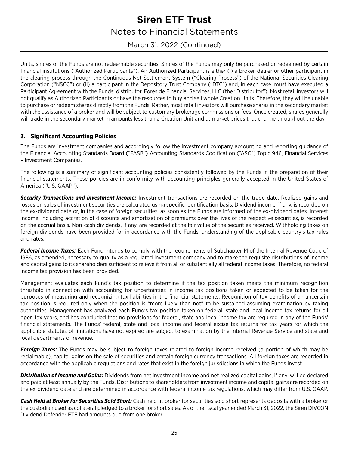March 31, 2022 (Continued)

Units, shares of the Funds are not redeemable securities. Shares of the Funds may only be purchased or redeemed by certain financial institutions ("Authorized Participants"). An Authorized Participant is either (i) a broker-dealer or other participant in the clearing process through the Continuous Net Settlement System ("Clearing Process") of the National Securities Clearing Corporation ("NSCC") or (ii) a participant in the Depository Trust Company ("DTC") and, in each case, must have executed a Participant Agreement with the Funds' distributor, Foreside Financial Services, LLC (the "Distributor"). Most retail investors will not qualify as Authorized Participants or have the resources to buy and sell whole Creation Units. Therefore, they will be unable to purchase or redeem shares directly from the Funds. Rather, most retail investors will purchase shares in the secondary market with the assistance of a broker and will be subject to customary brokerage commissions or fees. Once created, shares generally will trade in the secondary market in amounts less than a Creation Unit and at market prices that change throughout the day.

### **3. Significant Accounting Policies**

The Funds are investment companies and accordingly follow the investment company accounting and reporting guidance of the Financial Accounting Standards Board ("FASB") Accounting Standards Codification ("ASC") Topic 946, Financial Services – Investment Companies.

The following is a summary of significant accounting policies consistently followed by the Funds in the preparation of their financial statements. These policies are in conformity with accounting principles generally accepted in the United States of America ("U.S. GAAP").

*Security Transactions and Investment Income:* Investment transactions are recorded on the trade date. Realized gains and losses on sales of investment securities are calculated using specific identification basis. Dividend income, if any, is recorded on the ex-dividend date or, in the case of foreign securities, as soon as the Funds are informed of the ex-dividend dates. Interest income, including accretion of discounts and amortization of premiums over the lives of the respective securities, is recorded on the accrual basis. Non-cash dividends, if any, are recorded at the fair value of the securities received. Withholding taxes on foreign dividends have been provided for in accordance with the Funds' understanding of the applicable country's tax rules and rates.

*Federal Income Taxes:* Each Fund intends to comply with the requirements of Subchapter M of the Internal Revenue Code of 1986, as amended, necessary to qualify as a regulated investment company and to make the requisite distributions of income and capital gains to its shareholders sufficient to relieve it from all or substantially all federal income taxes. Therefore, no federal income tax provision has been provided.

Management evaluates each Fund's tax position to determine if the tax position taken meets the minimum recognition threshold in connection with accounting for uncertainties in income tax positions taken or expected to be taken for the purposes of measuring and recognizing tax liabilities in the financial statements. Recognition of tax benefits of an uncertain tax position is required only when the position is "more likely than not" to be sustained assuming examination by taxing authorities. Management has analyzed each Fund's tax position taken on federal, state and local income tax returns for all open tax years, and has concluded that no provisions for federal, state and local income tax are required in any of the Funds' financial statements. The Funds' federal, state and local income and federal excise tax returns for tax years for which the applicable statutes of limitations have not expired are subject to examination by the Internal Revenue Service and state and local departments of revenue.

*Foreign Taxes:* The Funds may be subject to foreign taxes related to foreign income received (a portion of which may be reclaimable), capital gains on the sale of securities and certain foreign currency transactions. All foreign taxes are recorded in accordance with the applicable regulations and rates that exist in the foreign jurisdictions in which the Funds invest.

*Distribution of Income and Gains:* Dividends from net investment income and net realized capital gains, if any, will be declared and paid at least annually by the Funds. Distributions to shareholders from investment income and capital gains are recorded on the ex-dividend date and are determined in accordance with federal income tax regulations, which may differ from U.S. GAAP.

*Cash Held at Broker for Securities Sold Short:* Cash held at broker for securities sold short represents deposits with a broker or the custodian used as collateral pledged to a broker for short sales. As of the fiscal year ended March 31, 2022, the Siren DIVCON Dividend Defender ETF had amounts due from one broker.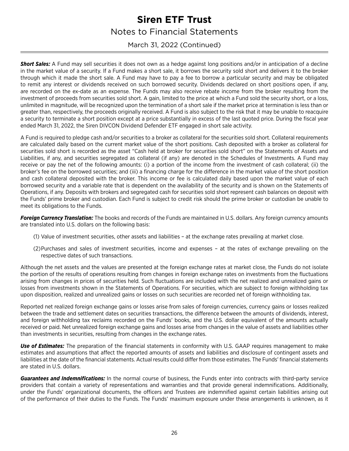March 31, 2022 (Continued)

**Short Sales:** A Fund may sell securities it does not own as a hedge against long positions and/or in anticipation of a decline in the market value of a security. If a Fund makes a short sale, it borrows the security sold short and delivers it to the broker through which it made the short sale. A Fund may have to pay a fee to borrow a particular security and may be obligated to remit any interest or dividends received on such borrowed security. Dividends declared on short positions open, if any, are recorded on the ex-date as an expense. The Funds may also receive rebate income from the broker resulting from the investment of proceeds from securities sold short. A gain, limited to the price at which a Fund sold the security short, or a loss, unlimited in magnitude, will be recognized upon the termination of a short sale if the market price at termination is less than or greater than, respectively, the proceeds originally received. A Fund is also subject to the risk that it may be unable to reacquire a security to terminate a short position except at a price substantially in excess of the last quoted price. During the fiscal year ended March 31, 2022, the Siren DIVCON Dividend Defender ETF engaged in short sale activity.

A Fund is required to pledge cash and/or securities to a broker as collateral for the securities sold short. Collateral requirements are calculated daily based on the current market value of the short positions. Cash deposited with a broker as collateral for securities sold short is recorded as the asset "Cash held at broker for securities sold short" on the Statements of Assets and Liabilities, if any, and securities segregated as collateral (if any) are denoted in the Schedules of Investments. A Fund may receive or pay the net of the following amounts: (i) a portion of the income from the investment of cash collateral; (ii) the broker's fee on the borrowed securities; and (iii) a financing charge for the difference in the market value of the short position and cash collateral deposited with the broker. This income or fee is calculated daily based upon the market value of each borrowed security and a variable rate that is dependent on the availability of the security and is shown on the Statements of Operations, if any. Deposits with brokers and segregated cash for securities sold short represent cash balances on deposit with the Funds' prime broker and custodian. Each Fund is subject to credit risk should the prime broker or custodian be unable to meet its obligations to the Funds.

*Foreign Currency Translation:* The books and records of the Funds are maintained in U.S. dollars. Any foreign currency amounts are translated into U.S. dollars on the following basis:

- (1) Value of investment securities, other assets and liabilities at the exchange rates prevailing at market close.
- (2)Purchases and sales of investment securities, income and expenses at the rates of exchange prevailing on the respective dates of such transactions.

Although the net assets and the values are presented at the foreign exchange rates at market close, the Funds do not isolate the portion of the results of operations resulting from changes in foreign exchange rates on investments from the fluctuations arising from changes in prices of securities held. Such fluctuations are included with the net realized and unrealized gains or losses from investments shown in the Statements of Operations. For securities, which are subject to foreign withholding tax upon disposition, realized and unrealized gains or losses on such securities are recorded net of foreign withholding tax.

Reported net realized foreign exchange gains or losses arise from sales of foreign currencies, currency gains or losses realized between the trade and settlement dates on securities transactions, the difference between the amounts of dividends, interest, and foreign withholding tax reclaims recorded on the Funds' books, and the U.S. dollar equivalent of the amounts actually received or paid. Net unrealized foreign exchange gains and losses arise from changes in the value of assets and liabilities other than investments in securities, resulting from changes in the exchange rates.

*Use of Estimates:* The preparation of the financial statements in conformity with U.S. GAAP requires management to make estimates and assumptions that affect the reported amounts of assets and liabilities and disclosure of contingent assets and liabilities at the date of the financial statements. Actual results could differ from those estimates. The Funds' financial statements are stated in U.S. dollars.

*Guarantees and Indemnifications:* In the normal course of business, the Funds enter into contracts with third-party service providers that contain a variety of representations and warranties and that provide general indemnifications. Additionally, under the Funds' organizational documents, the officers and Trustees are indemnified against certain liabilities arising out of the performance of their duties to the Funds. The Funds' maximum exposure under these arrangements is unknown, as it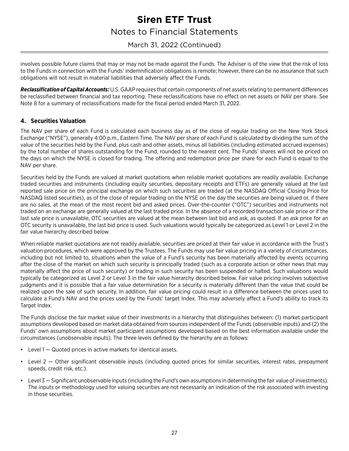### March 31, 2022 (Continued)

involves possible future claims that may or may not be made against the Funds. The Adviser is of the view that the risk of loss to the Funds in connection with the Funds' indemnification obligations is remote; however, there can be no assurance that such obligations will not result in material liabilities that adversely affect the Funds.

*Reclassification of Capital Accounts:* U.S. GAAP requires that certain components of net assets relating to permanent differences be reclassified between financial and tax reporting. These reclassifications have no effect on net assets or NAV per share. See Note 8 for a summary of reclassifications made for the fiscal period ended March 31, 2022.

### **4. Securities Valuation**

The NAV per share of each Fund is calculated each business day as of the close of regular trading on the New York Stock Exchange ("NYSE"), generally 4:00 p.m., Eastern Time. The NAV per share of each Fund is calculated by dividing the sum of the value of the securities held by the Fund, plus cash and other assets, minus all liabilities (including estimated accrued expenses) by the total number of shares outstanding for the Fund, rounded to the nearest cent. The Funds' shares will not be priced on the days on which the NYSE is closed for trading. The offering and redemption price per share for each Fund is equal to the NAV per share.

Securities held by the Funds are valued at market quotations when reliable market quotations are readily available. Exchange traded securities and instruments (including equity securities, depositary receipts and ETFs) are generally valued at the last reported sale price on the principal exchange on which such securities are traded (at the NASDAQ Official Closing Price for NASDAQ listed securities), as of the close of regular trading on the NYSE on the day the securities are being valued or, if there are no sales, at the mean of the most recent bid and asked prices. Over-the-counter ("OTC") securities and instruments not traded on an exchange are generally valued at the last traded price. In the absence of a recorded transaction sale price or if the last sale price is unavailable, OTC securities are valued at the mean between last bid and ask, as quoted. If an ask price for an OTC security is unavailable, the last bid price is used. Such valuations would typically be categorized as Level 1 or Level 2 in the fair value hierarchy described below.

When reliable market quotations are not readily available, securities are priced at their fair value in accordance with the Trust's valuation procedures, which were approved by the Trustees. The Funds may use fair value pricing in a variety of circumstances, including but not limited to, situations when the value of a Fund's security has been materially affected by events occurring after the close of the market on which such security is principally traded (such as a corporate action or other news that may materially affect the price of such security) or trading in such security has been suspended or halted. Such valuations would typically be categorized as Level 2 or Level 3 in the fair value hierarchy described below. Fair value pricing involves subjective judgments and it is possible that a fair value determination for a security is materially different than the value that could be realized upon the sale of such security. In addition, fair value pricing could result in a difference between the prices used to calculate a Fund's NAV and the prices used by the Funds' target Index. This may adversely affect a Fund's ability to track its Target Index.

The Funds disclose the fair market value of their investments in a hierarchy that distinguishes between: (1) market participant assumptions developed based on market data obtained from sources independent of the Funds (observable inputs) and (2) the Funds' own assumptions about market participant assumptions developed based on the best information available under the circumstances (unobservable inputs). The three levels defined by the hierarchy are as follows:

- Level  $1 -$  Quoted prices in active markets for identical assets.
- Level 2 Other significant observable inputs (including quoted prices for similar securities, interest rates, prepayment speeds, credit risk, etc.).
- Level 3 Significant unobservable inputs (including the Fund's own assumptions in determining the fair value of investments). The inputs or methodology used for valuing securities are not necessarily an indication of the risk associated with investing in those securities.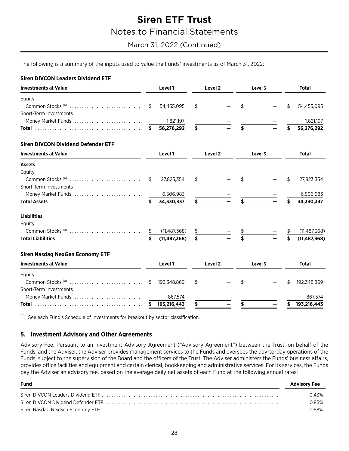### March 31, 2022 (Continued)

**Total** 

**Total** 

27,823,354

6,506,983

 $(11, 487, 368)$ 

867,574 193,216,443

**Total** 

54,455,095

1,821,197

The following is a summary of the inputs used to value the Funds' investments as of March 31, 2022:

#### **Siren DIVCON Leaders Dividend ETF Investments at Value** Level<sub>2</sub> Level 1 Level 3 Equity Common Stocks<sup>(a)</sup> ..............................  $\mathfrak{L}$ 54,455,095 \$  $\frac{1}{2}$ \$ Short-Term Investments Money Market Funds ........................ 1,821,197 \$. 56,276,292 Ś \$ 56,276,292 **Siren DIVCON Dividend Defender ETF Investments at Value** Level 1 Level<sub>2</sub> Level 3 **Assets** Equity Common Stocks<sup>(a)</sup> ............................... 27,823,354 \$  $\mathfrak{L}$  $\mathbf{\hat{S}}$ \$ Short-Term Investments Money Market Funds ............................. 6,506,983 34.330.337 \$ 34.330.337 \$ **Liabilities** Eauity Common Stocks<sup>(a)</sup> .............................. \$  $(11, 487, 368)$ \$  $(11, 487, 368)$ \$ \$  $(11, 487, 368)$ **Siren Nasdag NexGen Economy ETF Investments at Value** Level 1 Level<sub>2</sub> Level 3 Equity Common Stocks<sup>(a)</sup> .............................. \$ \$ 192,348,869 \$ \$ 192,348,869 Short-Term Investments Money Market Funds ............................ 867,574

(a) See each Fund's Schedule of Investments for breakout by sector classification.

#### 5. Investment Advisory and Other Agreements

Advisory Fee: Pursuant to an Investment Advisory Agreement ("Advisory Agreement") between the Trust, on behalf of the Funds, and the Adviser, the Adviser provides management services to the Funds and oversees the day-to-day operations of the Funds, subject to the supervision of the Board and the officers of the Trust. The Adviser administers the Funds' business affairs, provides office facilities and equipment and certain clerical, bookkeeping and administrative services. For its services, the Funds pay the Adviser an advisory fee, based on the average daily net assets of each Fund at the following annual rates:

193,216,443

5

\$

\$

| <b>Fund</b> | <b>Advisory Fee</b> |
|-------------|---------------------|
|             | 0.43%               |
|             | 0.85%               |
|             | 0.68%               |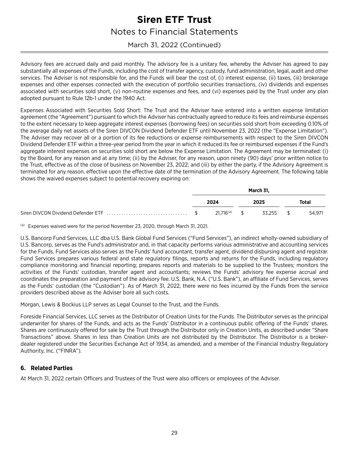### March 31, 2022 (Continued)

Advisory fees are accrued daily and paid monthly. The advisory fee is a unitary fee, whereby the Adviser has agreed to pay substantially all expenses of the Funds, including the cost of transfer agency, custody, fund administration, legal, audit and other services. The Adviser is not responsible for, and the Funds will bear the cost of, (i) interest expense, (ii) taxes, (iii) brokerage expenses and other expenses connected with the execution of portfolio securities transactions, (iv) dividends and expenses associated with securities sold short, (v) non-routine expenses and fees, and (vi) expenses paid by the Trust under any plan adopted pursuant to Rule 12b-1 under the 1940 Act.

Expenses Associated with Securities Sold Short: The Trust and the Adviser have entered into a written expense limitation agreement (the "Agreement") pursuant to which the Adviser has contractually agreed to reduce its fees and reimburse expenses to the extent necessary to keep aggregate interest expenses (borrowing fees) on securities sold short from exceeding 0.10% of the average daily net assets of the Siren DIVCON Dividend Defender ETF until November 23, 2022 (the "Expense Limitation"). The Adviser may recover all or a portion of its fee reductions or expense reimbursements with respect to the Siren DIVCON Dividend Defender ETF within a three-year period from the year in which it reduced its fee or reimbursed expenses if the Fund's aggregate interest expenses on securities sold short are below the Expense Limitation. The Agreement may be terminated: (i) by the Board, for any reason and at any time; (ii) by the Adviser, for any reason, upon ninety (90) days' prior written notice to the Trust, effective as of the close of business on November 23, 2022; and (iii) by either the party, if the Advisory Agreement is terminated for any reason, effective upon the effective date of the termination of the Advisory Agreement. The following table shows the waived expenses subject to potential recovery expiring on:

|  |                          | March 31, |              |
|--|--------------------------|-----------|--------------|
|  | 2024                     | 2025      | <b>Total</b> |
|  | 21.716 <sup>(a)</sup> \$ | 33.255 \$ | 54.971       |

(a) Expenses waived were for the period November 23, 2020, through March 31, 2021.

U.S. Bancorp Fund Services, LLC dba U.S. Bank Global Fund Services ("Fund Services"), an indirect wholly-owned subsidiary of U.S. Bancorp, serves as the Fund's administrator and, in that capacity performs various administrative and accounting services for the Funds. Fund Services also serves as the Funds' fund accountant, transfer agent, dividend disbursing agent and registrar. Fund Services prepares various federal and state regulatory filings, reports and returns for the Funds, including regulatory compliance monitoring and financial reporting; prepares reports and materials to be supplied to the Trustees; monitors the activities of the Funds' custodian, transfer agent and accountants; reviews the Funds' advisory fee expense accrual and coordinates the preparation and payment of the advisory fee. U.S. Bank, N.A. ("U.S. Bank"), an affiliate of Fund Services, serves as the Funds' custodian (the "Custodian"). As of March 31, 2022, there were no fees incurred by the Funds from the service providers described above as the Adviser bore all such costs.

Morgan, Lewis & Bockius LLP serves as Legal Counsel to the Trust, and the Funds.

Foreside Financial Services, LLC serves as the Distributor of Creation Units for the Funds. The Distributor serves as the principal underwriter for shares of the Funds, and acts as the Funds' Distributor in a continuous public offering of the Funds' shares. Shares are continuously offered for sale by the Trust through the Distributor only in Creation Units, as described under "Share Transactions" above. Shares in less than Creation Units are not distributed by the Distributor. The Distributor is a brokerdealer registered under the Securities Exchange Act of 1934, as amended, and a member of the Financial Industry Regulatory Authority, Inc. ("FINRA").

### **6. Related Parties**

At March 31, 2022 certain Officers and Trustees of the Trust were also officers or employees of the Adviser.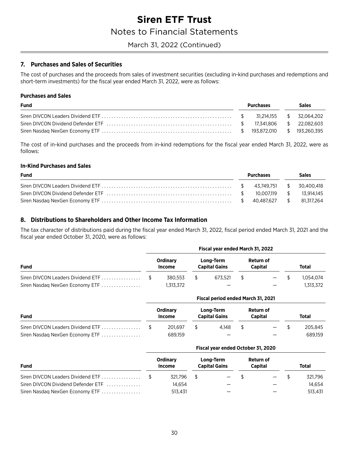### March 31, 2022 (Continued)

### 7. Purchases and Sales of Securities

The cost of purchases and the proceeds from sales of investment securities (excluding in-kind purchases and redemptions and short-term investments) for the fiscal year ended March 31, 2022, were as follows:

#### **Purchases and Sales**

| <b>Fund</b> | Purchases |  |  | <b>Sales</b> |  |  |
|-------------|-----------|--|--|--------------|--|--|
|             |           |  |  |              |  |  |
|             |           |  |  |              |  |  |
|             |           |  |  |              |  |  |

The cost of in-kind purchases and the proceeds from in-kind redemptions for the fiscal year ended March 31, 2022, were as follows:

#### **In-Kind Purchases and Sales**

| <b>Fund</b> | Purchases |  |  | Sales |  |  |
|-------------|-----------|--|--|-------|--|--|
|             |           |  |  |       |  |  |
|             |           |  |  |       |  |  |
|             |           |  |  |       |  |  |

### 8. Distributions to Shareholders and Other Income Tax Information

The tax character of distributions paid during the fiscal year ended March 31, 2022, fiscal period ended March 31, 2021 and the fiscal year ended October 31, 2020, were as follows:

| <b>Fund</b>                     | Fiscal year ended March 31, 2022 |                    |  |                                   |     |                      |        |              |  |  |  |
|---------------------------------|----------------------------------|--------------------|--|-----------------------------------|-----|----------------------|--------|--------------|--|--|--|
|                                 |                                  | Ordinary<br>Income |  | Long-Term<br><b>Capital Gains</b> |     | Return of<br>Capital |        | <b>Total</b> |  |  |  |
|                                 |                                  | 380.553            |  | 673.521                           | \$. |                      | $-$ \$ | 1.054.074    |  |  |  |
| Siren Nasdaq NexGen Economy ETF |                                  | 1,313,372          |  | –                                 |     | –                    |        | 1.313.372    |  |  |  |

|                                   |                           |                                   | Fiscal period ended March 31, 2021 |              |
|-----------------------------------|---------------------------|-----------------------------------|------------------------------------|--------------|
| <b>Fund</b>                       | <b>Ordinary</b><br>Income | Long-Term<br><b>Capital Gains</b> | Return of<br><b>Capital</b>        | <b>Total</b> |
| Siren DIVCON Leaders Dividend ETF | 201.697                   | 4.148                             | $\qquad \qquad -$                  | 205.845      |
| Siren Nasdaq NexGen Economy ETF   | 689.159                   |                                   |                                    | 689.159      |

#### Fiscal year ended October 31, 2020

| <b>Fund</b>                        |  | Ordinary<br>Income | Long-Term<br><b>Capital Gains</b> |        | Return of<br>Capital |        | <b>Total</b> |         |
|------------------------------------|--|--------------------|-----------------------------------|--------|----------------------|--------|--------------|---------|
|                                    |  | 321.796            |                                   | $-$ \$ |                      | $-$ \$ |              | 321.796 |
| Siren DIVCON Dividend Defender ETF |  | 14.654             |                                   |        |                      |        |              | 14.654  |
| Siren Nasdaq NexGen Economy ETF    |  | 513.431            |                                   |        |                      |        |              | 513.431 |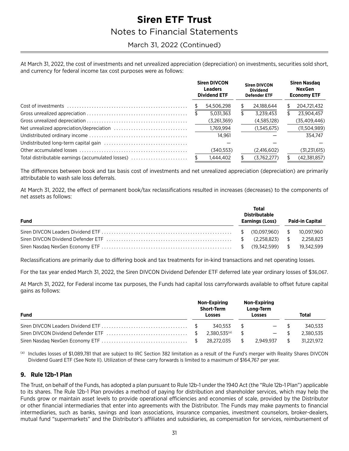### March 31, 2022 (Continued)

At March 31, 2022, the cost of investments and net unrealized appreciation (depreciation) on investments, securities sold short, and currency for federal income tax cost purposes were as follows:

|                                                   |  | <b>Siren DIVCON</b><br><b>Leaders</b><br><b>Dividend ETF</b> |   | <b>Siren DIVCON</b><br><b>Dividend</b><br><b>Defender ETF</b> | <b>Siren Nasdag</b><br><b>NexGen</b><br><b>Economy ETF</b> |                |  |
|---------------------------------------------------|--|--------------------------------------------------------------|---|---------------------------------------------------------------|------------------------------------------------------------|----------------|--|
|                                                   |  | 54,506,298                                                   | S | 24,188,644                                                    |                                                            | 204,721,432    |  |
|                                                   |  | 5.031.363                                                    | S | 3.239.453                                                     | \$                                                         | 23.904.457     |  |
|                                                   |  | (3,261,369)                                                  |   | (4,585,128)                                                   |                                                            | (35, 409, 446) |  |
|                                                   |  | 1.769.994                                                    |   | (1,345,675)                                                   |                                                            | (11,504,989)   |  |
|                                                   |  | 14.961                                                       |   |                                                               |                                                            | 354.747        |  |
|                                                   |  |                                                              |   |                                                               |                                                            |                |  |
|                                                   |  | (340, 553)                                                   |   | (2,416,602)                                                   |                                                            | (31, 231, 615) |  |
| Total distributable earnings (accumulated losses) |  | 1.444.402                                                    |   | (3,762,277)                                                   |                                                            | (42, 381, 857) |  |

The differences between book and tax basis cost of investments and net unrealized appreciation (depreciation) are primarily attributable to wash sale loss deferrals.

At March 31, 2022, the effect of permanent book/tax reclassifications resulted in increases (decreases) to the components of net assets as follows:

| <b>Fund</b> | Total<br><b>Distributable</b><br>Earnings (Loss) | <b>Paid-in Capital</b> |
|-------------|--------------------------------------------------|------------------------|
|             |                                                  |                        |
|             |                                                  |                        |
|             |                                                  |                        |

Reclassifications are primarily due to differing book and tax treatments for in-kind transactions and net operating losses.

For the tax year ended March 31, 2022, the Siren DIVCON Dividend Defender ETF deferred late year ordinary losses of \$36,067.

At March 31, 2022, for Federal income tax purposes, the Funds had capital loss carryforwards available to offset future capital gains as follows:

| <b>Fund</b> |  | Non-Expiring<br><b>Short-Term</b><br><b>Losses</b> |               | Non-Expiring<br>Long-Term<br>Losses |  | Total      |  |
|-------------|--|----------------------------------------------------|---------------|-------------------------------------|--|------------|--|
|             |  | 340.553                                            | <sup>\$</sup> | $-$ \$                              |  | 340.533    |  |
|             |  | $2.380.535^{(a)}$                                  | \$            | $\qquad \qquad -$                   |  | 2.380.535  |  |
|             |  | 28.272.035                                         | S.            | 2.949.937                           |  | 31.221.972 |  |

(a) Includes losses of \$1,089,781 that are subject to IRC Section 382 limitation as a result of the Fund's merger with Reality Shares DIVCON Dividend Guard ETF (See Note II). Utilization of these carry forwards is limited to a maximum of \$164,767 per year.

### 9. Rule 12b-1 Plan

The Trust, on behalf of the Funds, has adopted a plan pursuant to Rule 12b-1 under the 1940 Act (the "Rule 12b-1 Plan") applicable to its shares. The Rule 12b-1 Plan provides a method of paying for distribution and shareholder services, which may help the Funds grow or maintain asset levels to provide operational efficiencies and economies of scale, provided by the Distributor or other financial intermediaries that enter into agreements with the Distributor. The Funds may make payments to financial intermediaries, such as banks, savings and loan associations, insurance companies, investment counselors, broker-dealers, mutual fund "supermarkets" and the Distributor's affiliates and subsidiaries, as compensation for services, reimbursement of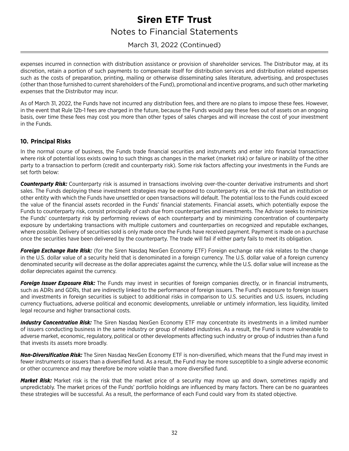### March 31, 2022 (Continued)

expenses incurred in connection with distribution assistance or provision of shareholder services. The Distributor may, at its discretion, retain a portion of such payments to compensate itself for distribution services and distribution related expenses such as the costs of preparation, printing, mailing or otherwise disseminating sales literature, advertising, and prospectuses (other than those furnished to current shareholders of the Fund), promotional and incentive programs, and such other marketing expenses that the Distributor may incur.

As of March 31, 2022, the Funds have not incurred any distribution fees, and there are no plans to impose these fees. However, in the event that Rule 12b-1 fees are charged in the future, because the Funds would pay these fees out of assets on an ongoing basis, over time these fees may cost you more than other types of sales charges and will increase the cost of your investment in the Funds.

### **10. Principal Risks**

In the normal course of business, the Funds trade financial securities and instruments and enter into financial transactions where risk of potential loss exists owing to such things as changes in the market (market risk) or failure or inability of the other party to a transaction to perform (credit and counterparty risk). Some risk factors affecting your investments in the Funds are set forth below:

*Counterparty Risk:* Counterparty risk is assumed in transactions involving over-the-counter derivative instruments and short sales. The Funds deploying these investment strategies may be exposed to counterparty risk, or the risk that an institution or other entity with which the Funds have unsettled or open transactions will default. The potential loss to the Funds could exceed the value of the financial assets recorded in the Funds' financial statements. Financial assets, which potentially expose the Funds to counterparty risk, consist principally of cash due from counterparties and investments. The Advisor seeks to minimize the Funds' counterparty risk by performing reviews of each counterparty and by minimizing concentration of counterparty exposure by undertaking transactions with multiple customers and counterparties on recognized and reputable exchanges, where possible. Delivery of securities sold is only made once the Funds have received payment. Payment is made on a purchase once the securities have been delivered by the counterparty. The trade will fail if either party fails to meet its obligation.

*Foreign Exchange Rate Risk:* (for the Siren Nasdaq NexGen Economy ETF) Foreign exchange rate risk relates to the change in the U.S. dollar value of a security held that is denominated in a foreign currency. The U.S. dollar value of a foreign currency denominated security will decrease as the dollar appreciates against the currency, while the U.S. dollar value will increase as the dollar depreciates against the currency.

*Foreign Issuer Exposure Risk:* The Funds may invest in securities of foreign companies directly, or in financial instruments, such as ADRs and GDRs, that are indirectly linked to the performance of foreign issuers. The Fund's exposure to foreign issuers and investments in foreign securities is subject to additional risks in comparison to U.S. securities and U.S. issuers, including currency fluctuations, adverse political and economic developments, unreliable or untimely information, less liquidity, limited legal recourse and higher transactional costs.

*Industry Concentration Risk:* The Siren Nasdaq NexGen Economy ETF may concentrate its investments in a limited number of issuers conducting business in the same industry or group of related industries. As a result, the Fund is more vulnerable to adverse market, economic, regulatory, political or other developments affecting such industry or group of industries than a fund that invests its assets more broadly.

*Non-Diversification Risk:* The Siren Nasdaq NexGen Economy ETF is non-diversified, which means that the Fund may invest in fewer instruments or issuers than a diversified fund. As a result, the Fund may be more susceptible to a single adverse economic or other occurrence and may therefore be more volatile than a more diversified fund.

*Market Risk:* Market risk is the risk that the market price of a security may move up and down, sometimes rapidly and unpredictably. The market prices of the Funds' portfolio holdings are influenced by many factors. There can be no guarantees these strategies will be successful. As a result, the performance of each Fund could vary from its stated objective.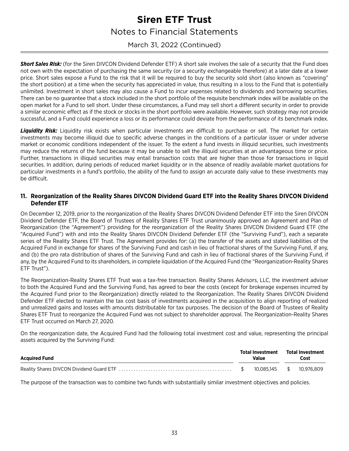March 31, 2022 (Continued)

**Short Sales Risk:** (for the Siren DIVCON Dividend Defender ETF) A short sale involves the sale of a security that the Fund does not own with the expectation of purchasing the same security (or a security exchangeable therefore) at a later date at a lower price. Short sales expose a Fund to the risk that it will be required to buy the security sold short (also known as "covering" the short position) at a time when the security has appreciated in value, thus resulting in a loss to the Fund that is potentially unlimited. Investment in short sales may also cause a Fund to incur expenses related to dividends and borrowing securities. There can be no guarantee that a stock included in the short portfolio of the requisite benchmark index will be available on the open market for a Fund to sell short. Under these circumstances, a Fund may sell short a different security in order to provide a similar economic effect as if the stock or stocks in the short portfolio were available. However, such strategy may not provide successful, and a Fund could experience a loss or its performance could deviate from the performance of its benchmark index.

*Liquidity Risk:* Liquidity risk exists when particular investments are difficult to purchase or sell. The market for certain investments may become illiquid due to specific adverse changes in the conditions of a particular issuer or under adverse market or economic conditions independent of the issuer. To the extent a fund invests in illiquid securities, such investments may reduce the returns of the fund because it may be unable to sell the illiquid securities at an advantageous time or price. Further, transactions in illiquid securities may entail transaction costs that are higher than those for transactions in liquid securities. In addition, during periods of reduced market liquidity or in the absence of readily available market quotations for particular investments in a fund's portfolio, the ability of the fund to assign an accurate daily value to these investments may be difficult.

### **11. Reorganization of the Reality Shares DIVCON Dividend Guard ETF into the Reality Shares DIVCON Dividend Defender ETF**

On December 12, 2019, prior to the reorganization of the Reality Shares DIVCON Dividend Defender ETF into the Siren DIVCON Dividend Defender ETF, the Board of Trustees of Reality Shares ETF Trust unanimously approved an Agreement and Plan of Reorganization (the "Agreement") providing for the reorganization of the Reality Shares DIVCON Dividend Guard ETF (the "Acquired Fund") with and into the Reality Shares DIVCON Dividend Defender ETF (the "Surviving Fund"), each a separate series of the Reality Shares ETF Trust. The Agreement provides for: (a) the transfer of the assets and stated liabilities of the Acquired Fund in exchange for shares of the Surviving Fund and cash in lieu of fractional shares of the Surviving Fund, if any, and (b) the pro rata distribution of shares of the Surviving Fund and cash in lieu of fractional shares of the Surviving Fund, if any, by the Acquired Fund to its shareholders, in complete liquidation of the Acquired Fund (the "Reorganization-Reality Shares ETF Trust").

The Reorganization-Reality Shares ETF Trust was a tax-free transaction. Reality Shares Advisors, LLC, the investment adviser to both the Acquired Fund and the Surviving Fund, has agreed to bear the costs (except for brokerage expenses incurred by the Acquired Fund prior to the Reorganization) directly related to the Reorganization. The Reality Shares DIVCON Dividend Defender ETF elected to maintain the tax cost basis of investments acquired in the acquisition to align reporting of realized and unrealized gains and losses with amounts distributable for tax purposes. The decision of the Board of Trustees of Reality Shares ETF Trust to reorganize the Acquired Fund was not subject to shareholder approval. The Reorganization-Reality Shares ETF Trust occurred on March 27, 2020.

On the reorganization date, the Acquired Fund had the following total investment cost and value, representing the principal assets acquired by the Surviving Fund:

| <b>Acquired Fund</b> | <b>Total Investment</b><br><b>Value</b> | Total Investment<br>Cost |
|----------------------|-----------------------------------------|--------------------------|
|                      | 10.085.145 \$                           | 10.976.809               |

The purpose of the transaction was to combine two funds with substantially similar investment objectives and policies.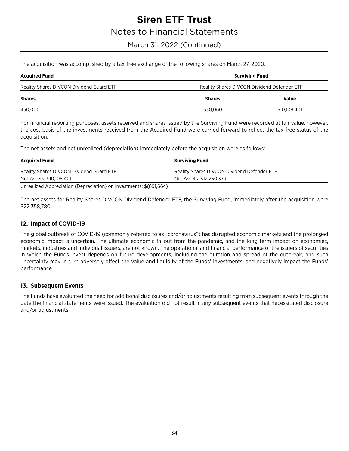### March 31, 2022 (Continued)

The acquisition was accomplished by a tax-free exchange of the following shares on March 27, 2020:

| <b>Acquired Fund</b>                     | <b>Surviving Fund</b><br>Reality Shares DIVCON Dividend Defender ETF |              |  |
|------------------------------------------|----------------------------------------------------------------------|--------------|--|
| Reality Shares DIVCON Dividend Guard ETF |                                                                      |              |  |
| <b>Shares</b>                            | <b>Shares</b>                                                        | Value        |  |
| 450,000                                  | 330.060                                                              | \$10,108,401 |  |
|                                          |                                                                      |              |  |

For financial reporting purposes, assets received and shares issued by the Surviving Fund were recorded at fair value; however, the cost basis of the investments received from the Acquired Fund were carried forward to reflect the tax-free status of the acquisition.

The net assets and net unrealized (depreciation) immediately before the acquisition were as follows:

| <b>Acquired Fund</b>                                               | <b>Surviving Fund</b>                       |
|--------------------------------------------------------------------|---------------------------------------------|
| Reality Shares DIVCON Dividend Guard ETF                           | Reality Shares DIVCON Dividend Defender ETF |
| Net Assets: \$10,108,401                                           | Net Assets: \$12.250.379                    |
| Unrealized Appreciation (Depreciation) on Investments: \$(891,664) |                                             |

The net assets for Reality Shares DIVCON Dividend Defender ETF, the Surviving Fund, immediately after the acquisition were \$22,358,780.

### **12. Impact of COVID-19**

The global outbreak of COVID-19 (commonly referred to as "coronavirus") has disrupted economic markets and the prolonged economic impact is uncertain. The ultimate economic fallout from the pandemic, and the long-term impact on economies, markets, industries and individual issuers, are not known. The operational and financial performance of the issuers of securities in which the Funds invest depends on future developments, including the duration and spread of the outbreak, and such uncertainty may in turn adversely affect the value and liquidity of the Funds' investments, and negatively impact the Funds' performance.

#### **13. Subsequent Events**

The Funds have evaluated the need for additional disclosures and/or adjustments resulting from subsequent events through the date the financial statements were issued. The evaluation did not result in any subsequent events that necessitated disclosure and/or adjustments.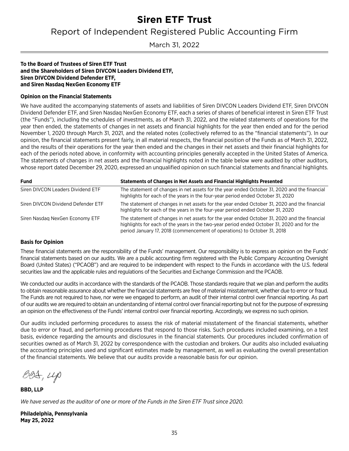<span id="page-36-0"></span>Report of Independent Registered Public Accounting Firm

March 31, 2022

#### **To the Board of Trustees of Siren ETF Trust and the Shareholders of Siren DIVCON Leaders Dividend ETF, Siren DIVCON Dividend Defender ETF, and Siren Nasdaq NexGen Economy ETF**

#### **Opinion on the Financial Statements**

We have audited the accompanying statements of assets and liabilities of Siren DIVCON Leaders Dividend ETF, Siren DIVCON Dividend Defender ETF, and Siren Nasdaq NexGen Economy ETF, each a series of shares of beneficial interest in Siren ETF Trust (the "Funds"), including the schedules of investments, as of March 31, 2022, and the related statements of operations for the year then ended, the statements of changes in net assets and financial highlights for the year then ended and for the period November 1, 2020 through March 31, 2021, and the related notes (collectively referred to as the "financial statements"). In our opinion, the financial statements present fairly, in all material respects, the financial position of the Funds as of March 31, 2022, and the results of their operations for the year then ended and the changes in their net assets and their financial highlights for each of the periods noted above, in conformity with accounting principles generally accepted in the United States of America. The statements of changes in net assets and the financial highlights noted in the table below were audited by other auditors, whose report dated December 29, 2020, expressed an unqualified opinion on such financial statements and financial highlights.

| <b>Fund</b>                        | Statements of Changes in Net Assets and Financial Highlights Presented                                                                                                                                                                                                 |
|------------------------------------|------------------------------------------------------------------------------------------------------------------------------------------------------------------------------------------------------------------------------------------------------------------------|
| Siren DIVCON Leaders Dividend ETF  | The statement of changes in net assets for the year ended October 31, 2020 and the financial<br>highlights for each of the years in the four-year period ended October 31, 2020                                                                                        |
| Siren DIVCON Dividend Defender ETF | The statement of changes in net assets for the year ended October 31, 2020 and the financial<br>highlights for each of the years in the four-year period ended October 31, 2020                                                                                        |
| Siren Nasdag NexGen Economy ETF    | The statement of changes in net assets for the year ended October 31, 2020 and the financial<br>highlights for each of the years in the two-year period ended October 31, 2020 and for the<br>period January 17, 2018 (commencement of operations) to October 31, 2018 |

#### **Basis for Opinion**

These financial statements are the responsibility of the Funds' management. Our responsibility is to express an opinion on the Funds' financial statements based on our audits. We are a public accounting firm registered with the Public Company Accounting Oversight Board (United States) ("PCAOB") and are required to be independent with respect to the Funds in accordance with the U.S. federal securities law and the applicable rules and regulations of the Securities and Exchange Commission and the PCAOB.

We conducted our audits in accordance with the standards of the PCAOB. Those standards require that we plan and perform the audits to obtain reasonable assurance about whether the financial statements are free of material misstatement, whether due to error or fraud. The Funds are not required to have, nor were we engaged to perform, an audit of their internal control over financial reporting. As part of our audits we are required to obtain an understanding of internal control over financial reporting but not for the purpose of expressing an opinion on the effectiveness of the Funds' internal control over financial reporting. Accordingly, we express no such opinion.

Our audits included performing procedures to assess the risk of material misstatement of the financial statements, whether due to error or fraud, and performing procedures that respond to those risks. Such procedures included examining, on a test basis, evidence regarding the amounts and disclosures in the financial statements. Our procedures included confirmation of securities owned as of March 31, 2022 by correspondence with the custodian and brokers. Our audits also included evaluating the accounting principles used and significant estimates made by management, as well as evaluating the overall presentation of the financial statements. We believe that our audits provide a reasonable basis for our opinion.

 $B04, \mu p$ 

**BBD, LLP**

*We have served as the auditor of one or more of the Funds in the Siren ETF Trust since 2020.*

**Philadelphia, Pennsylvania May 25, 2022**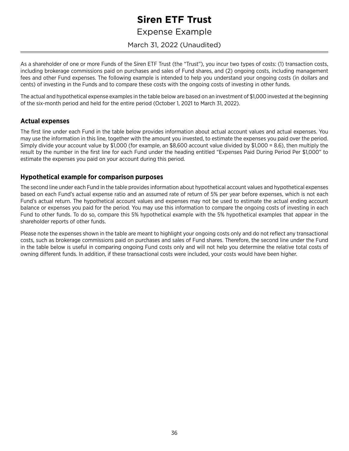<span id="page-37-0"></span>Expense Example

March 31, 2022 (Unaudited)

As a shareholder of one or more Funds of the Siren ETF Trust (the "Trust"), you incur two types of costs: (1) transaction costs, including brokerage commissions paid on purchases and sales of Fund shares, and (2) ongoing costs, including management fees and other Fund expenses. The following example is intended to help you understand your ongoing costs (in dollars and cents) of investing in the Funds and to compare these costs with the ongoing costs of investing in other funds.

The actual and hypothetical expense examples in the table below are based on an investment of \$1,000 invested at the beginning of the six-month period and held for the entire period (October 1, 2021 to March 31, 2022).

### **Actual expenses**

The first line under each Fund in the table below provides information about actual account values and actual expenses. You may use the information in this line, together with the amount you invested, to estimate the expenses you paid over the period. Simply divide your account value by \$1,000 (for example, an \$8,600 account value divided by \$1,000 = 8.6), then multiply the result by the number in the first line for each Fund under the heading entitled "Expenses Paid During Period Per \$1,000" to estimate the expenses you paid on your account during this period.

### **Hypothetical example for comparison purposes**

The second line under each Fund in the table provides information about hypothetical account values and hypothetical expenses based on each Fund's actual expense ratio and an assumed rate of return of 5% per year before expenses, which is not each Fund's actual return. The hypothetical account values and expenses may not be used to estimate the actual ending account balance or expenses you paid for the period. You may use this information to compare the ongoing costs of investing in each Fund to other funds. To do so, compare this 5% hypothetical example with the 5% hypothetical examples that appear in the shareholder reports of other funds.

Please note the expenses shown in the table are meant to highlight your ongoing costs only and do not reflect any transactional costs, such as brokerage commissions paid on purchases and sales of Fund shares. Therefore, the second line under the Fund in the table below is useful in comparing ongoing Fund costs only and will not help you determine the relative total costs of owning different funds. In addition, if these transactional costs were included, your costs would have been higher.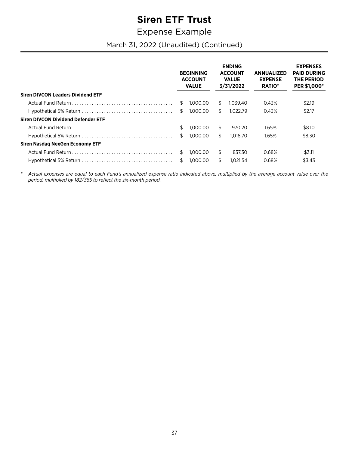### **Expense Example**

March 31, 2022 (Unaudited) (Continued)

|                                                                                            |     | <b>BEGINNING</b><br><b>ACCOUNT</b><br><b>VALUE</b> |     | <b>ENDING</b><br><b>ACCOUNT</b><br><b>VALUE</b><br>3/31/2022 | <b>ANNUALIZED</b><br><b>EXPENSE</b><br><b>RATIO*</b> | <b>EXPENSES</b><br><b>PAID DURING</b><br>THE PERIOD<br><b>PER \$1,000*</b> |
|--------------------------------------------------------------------------------------------|-----|----------------------------------------------------|-----|--------------------------------------------------------------|------------------------------------------------------|----------------------------------------------------------------------------|
| <b>Siren DIVCON Leaders Dividend ETF</b>                                                   |     |                                                    |     |                                                              |                                                      |                                                                            |
|                                                                                            | S   | 1.000.00                                           | S.  | 1.039.40                                                     | 0.43%                                                | \$2.19                                                                     |
|                                                                                            | \$  | 1.000.00                                           | \$  | 1.022.79                                                     | 0.43%                                                | \$2.17                                                                     |
| <b>Siren DIVCON Dividend Defender ETF</b>                                                  |     |                                                    |     |                                                              |                                                      |                                                                            |
|                                                                                            | Ŝ.  | 1.000.00                                           | \$  | 970.20                                                       | 1.65%                                                | \$8.10                                                                     |
| $Hypothetical 5% Return \dots \dots \dots \dots \dots \dots \dots \dots \dots \dots \dots$ | Ŝ.  | 1.000.00                                           | \$  | 1.016.70                                                     | 1.65%                                                | \$8.30                                                                     |
| Siren Nasdag NexGen Economy ETF                                                            |     |                                                    |     |                                                              |                                                      |                                                                            |
|                                                                                            | \$. | 1.000.00                                           | \$. | 837.30                                                       | 0.68%                                                | \$3.11                                                                     |
|                                                                                            | Ŝ.  | 1.000.00                                           | \$  | 1.021.54                                                     | 0.68%                                                | \$3.43                                                                     |

 $\ast$ Actual expenses are equal to each Fund's annualized expense ratio indicated above, multiplied by the average account value over the period, multiplied by 182/365 to reflect the six-month period.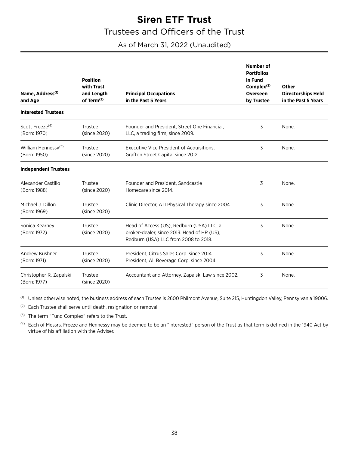### **Siren ETF Trust** Trustees and Officers of the Trust

### <span id="page-39-0"></span>As of March 31, 2022 (Unaudited)

| Name, Address <sup>(1)</sup><br>and Age         | <b>Position</b><br>with Trust<br>and Length<br>of Term <sup>(2)</sup> | <b>Principal Occupations</b><br>in the Past 5 Years                                                                              | <b>Number of</b><br><b>Portfolios</b><br>in Fund<br>Complex <sup>(3)</sup><br>Overseen<br>by Trustee | Other<br><b>Directorships Held</b><br>in the Past 5 Years |
|-------------------------------------------------|-----------------------------------------------------------------------|----------------------------------------------------------------------------------------------------------------------------------|------------------------------------------------------------------------------------------------------|-----------------------------------------------------------|
| <b>Interested Trustees</b>                      |                                                                       |                                                                                                                                  |                                                                                                      |                                                           |
| Scott Freeze <sup>(4)</sup><br>(Born: 1970)     | Trustee<br>(since 2020)                                               | Founder and President, Street One Financial,<br>LLC, a trading firm, since 2009.                                                 | 3                                                                                                    | None.                                                     |
| William Hennessy <sup>(4)</sup><br>(Born: 1950) | Trustee<br>(since 2020)                                               | Executive Vice President of Acquisitions,<br>Grafton Street Capital since 2012.                                                  | 3                                                                                                    | None.                                                     |
| <b>Independent Trustees</b>                     |                                                                       |                                                                                                                                  |                                                                                                      |                                                           |
| Alexander Castillo<br>(Born: 1988)              | Trustee<br>(since 2020)                                               | Founder and President, Sandcastle<br>Homecare since 2014.                                                                        | 3                                                                                                    | None.                                                     |
| Michael J. Dillon<br>(Born: 1969)               | Trustee<br>(since 2020)                                               | Clinic Director, ATI Physical Therapy since 2004.                                                                                | 3                                                                                                    | None.                                                     |
| Sonica Kearney<br>(Born: 1972)                  | Trustee<br>(since 2020)                                               | Head of Access (US), Redburn (USA) LLC, a<br>broker-dealer, since 2013. Head of HR (US),<br>Redburn (USA) LLC from 2008 to 2018. | 3                                                                                                    | None.                                                     |
| Andrew Kushner<br>(Born: 1971)                  | Trustee<br>(since 2020)                                               | President, Citrus Sales Corp. since 2014.<br>President, All Beverage Corp. since 2004.                                           | 3                                                                                                    | None.                                                     |
| Christopher R. Zapalski<br>(Born: 1977)         | Trustee<br>(since 2020)                                               | Accountant and Attorney, Zapalski Law since 2002.                                                                                | 3                                                                                                    | None.                                                     |

(1) Unless otherwise noted, the business address of each Trustee is 2600 Philmont Avenue, Suite 215, Huntingdon Valley, Pennsylvania 19006.

(2) Each Trustee shall serve until death, resignation or removal.

(3) The term "Fund Complex" refers to the Trust.

(4) Each of Messrs. Freeze and Hennessy may be deemed to be an "interested" person of the Trust as that term is defined in the 1940 Act by virtue of his affiliation with the Adviser.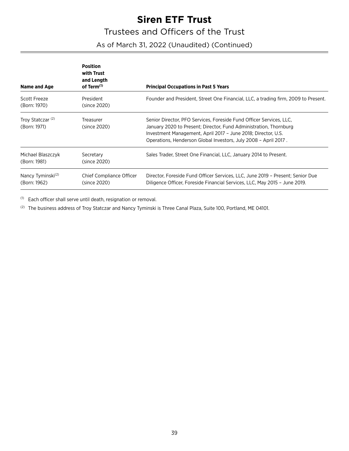### Trustees and Officers of the Trust

### As of March 31, 2022 (Unaudited) (Continued)

| Name and Age                                  | <b>Position</b><br>with Trust<br>and Length<br>of Term <sup>(1)</sup> | <b>Principal Occupations in Past 5 Years</b>                                                                                                                                                                                                                                 |
|-----------------------------------------------|-----------------------------------------------------------------------|------------------------------------------------------------------------------------------------------------------------------------------------------------------------------------------------------------------------------------------------------------------------------|
| Scott Freeze<br>(Born: 1970)                  | President<br>(since 2020)                                             | Founder and President, Street One Financial, LLC, a trading firm, 2009 to Present.                                                                                                                                                                                           |
| Troy Statczar <sup>(2)</sup><br>(Born: 1971)  | Treasurer<br>(since 2020)                                             | Senior Director, PFO Services, Foreside Fund Officer Services, LLC.<br>January 2020 to Present; Director, Fund Administration, Thornburg<br>Investment Management, April 2017 - June 2018; Director, U.S.<br>Operations, Henderson Global Investors, July 2008 - April 2017. |
| Michael Blaszczyk<br>(Born: 1981)             | Secretary<br>(since 2020)                                             | Sales Trader, Street One Financial, LLC, January 2014 to Present.                                                                                                                                                                                                            |
| Nancy Tyminski <sup>(2)</sup><br>(Born: 1962) | Chief Compliance Officer<br>(since 2020)                              | Director, Foreside Fund Officer Services, LLC, June 2019 - Present; Senior Due<br>Diligence Officer, Foreside Financial Services, LLC, May 2015 - June 2019.                                                                                                                 |

(1) Each officer shall serve until death, resignation or removal.

(2) The business address of Troy Statczar and Nancy Tyminski is Three Canal Plaza, Suite 100, Portland, ME 04101.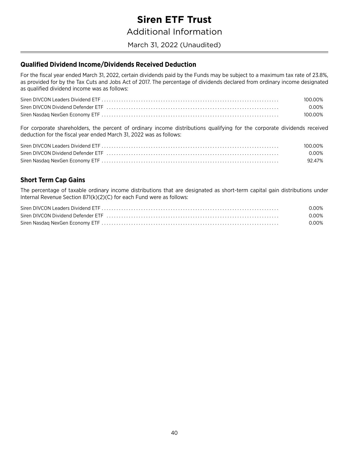### **Siren ETF Trust Additional Information**

### <span id="page-41-0"></span>March 31, 2022 (Unaudited)

### <span id="page-41-1"></span>Qualified Dividend Income/Dividends Received Deduction

For the fiscal year ended March 31, 2022, certain dividends paid by the Funds may be subject to a maximum tax rate of 23.8%, as provided for by the Tax Cuts and Jobs Act of 2017. The percentage of dividends declared from ordinary income designated as qualified dividend income was as follows:

| 100.00% |
|---------|
| 0.00%   |
| 100.00% |

For corporate shareholders, the percent of ordinary income distributions qualifying for the corporate dividends received deduction for the fiscal year ended March 31, 2022 was as follows:

| 100.00% |
|---------|
| 0.00%   |
| 92.47%  |

### <span id="page-41-2"></span>**Short Term Cap Gains**

The percentage of taxable ordinary income distributions that are designated as short-term capital gain distributions under Internal Revenue Section 871(k)(2)(C) for each Fund were as follows:

| 0.00% |
|-------|
| 0.00% |
| 0.00% |